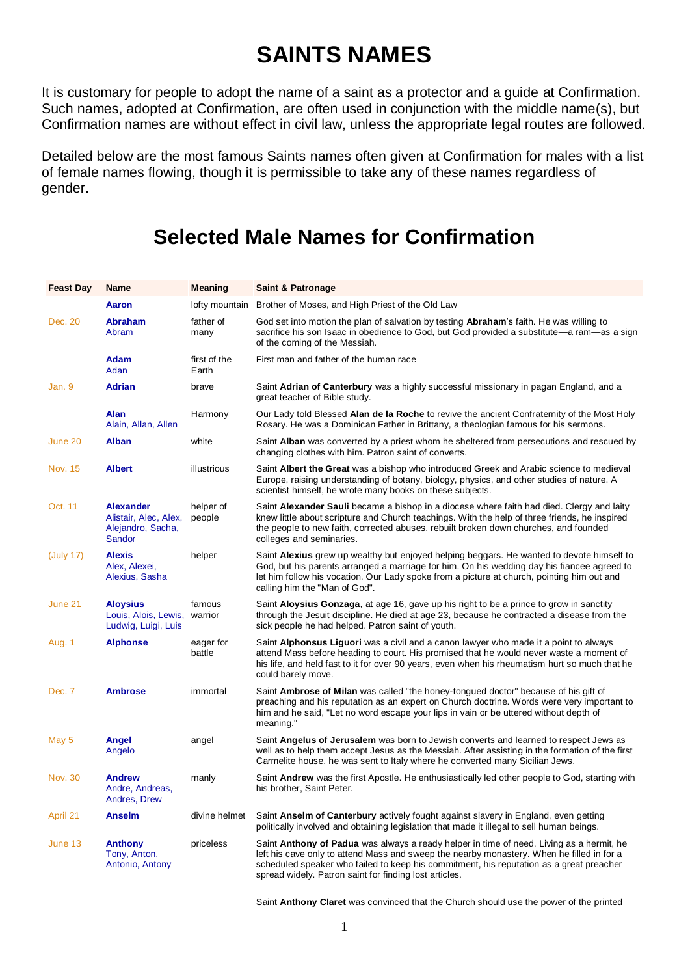## **SAINTS NAMES**

It is customary for people to adopt the name of a saint as a protector and a guide at Confirmation. Such names, adopted at Confirmation, are often used in conjunction with the middle name(s), but Confirmation names are without effect in civil law, unless the appropriate legal routes are followed.

Detailed below are the most famous Saints names often given at Confirmation for males with a list of female names flowing, though it is permissible to take any of these names regardless of gender.

## **Selected Male Names for Confirmation**

| <b>Feast Day</b> | <b>Name</b>                                                              | Meaning               | Saint & Patronage                                                                                                                                                                                                                                                                                                                          |
|------------------|--------------------------------------------------------------------------|-----------------------|--------------------------------------------------------------------------------------------------------------------------------------------------------------------------------------------------------------------------------------------------------------------------------------------------------------------------------------------|
|                  | Aaron                                                                    |                       | lofty mountain Brother of Moses, and High Priest of the Old Law                                                                                                                                                                                                                                                                            |
| Dec. 20          | <b>Abraham</b><br>Abram                                                  | father of<br>many     | God set into motion the plan of salvation by testing <b>Abraham</b> 's faith. He was willing to<br>sacrifice his son Isaac in obedience to God, but God provided a substitute—a ram—as a sign<br>of the coming of the Messiah.                                                                                                             |
|                  | <b>Adam</b><br>Adan                                                      | first of the<br>Earth | First man and father of the human race                                                                                                                                                                                                                                                                                                     |
| Jan. 9           | <b>Adrian</b>                                                            | brave                 | Saint Adrian of Canterbury was a highly successful missionary in pagan England, and a<br>great teacher of Bible study.                                                                                                                                                                                                                     |
|                  | <b>Alan</b><br>Alain, Allan, Allen                                       | Harmony               | Our Lady told Blessed Alan de la Roche to revive the ancient Confraternity of the Most Holy<br>Rosary. He was a Dominican Father in Brittany, a theologian famous for his sermons.                                                                                                                                                         |
| June 20          | <b>Alban</b>                                                             | white                 | Saint Alban was converted by a priest whom he sheltered from persecutions and rescued by<br>changing clothes with him. Patron saint of converts.                                                                                                                                                                                           |
| Nov. 15          | <b>Albert</b>                                                            | illustrious           | Saint Albert the Great was a bishop who introduced Greek and Arabic science to medieval<br>Europe, raising understanding of botany, biology, physics, and other studies of nature. A<br>scientist himself, he wrote many books on these subjects.                                                                                          |
| Oct. 11          | <b>Alexander</b><br>Alistair, Alec, Alex,<br>Alejandro, Sacha,<br>Sandor | helper of<br>people   | Saint Alexander Sauli became a bishop in a diocese where faith had died. Clergy and laity<br>knew little about scripture and Church teachings. With the help of three friends, he inspired<br>the people to new faith, corrected abuses, rebuilt broken down churches, and founded<br>colleges and seminaries.                             |
| (July 17)        | <b>Alexis</b><br>Alex, Alexei,<br>Alexius, Sasha                         | helper                | Saint Alexius grew up wealthy but enjoyed helping beggars. He wanted to devote himself to<br>God, but his parents arranged a marriage for him. On his wedding day his fiancee agreed to<br>let him follow his vocation. Our Lady spoke from a picture at church, pointing him out and<br>calling him the "Man of God".                     |
| June 21          | <b>Aloysius</b><br>Louis, Alois, Lewis, warrior<br>Ludwig, Luigi, Luis   | famous                | Saint <b>Aloysius Gonzaga</b> , at age 16, gave up his right to be a prince to grow in sanctity<br>through the Jesuit discipline. He died at age 23, because he contracted a disease from the<br>sick people he had helped. Patron saint of youth.                                                                                         |
| Aug. 1           | <b>Alphonse</b>                                                          | eager for<br>battle   | Saint Alphonsus Liguori was a civil and a canon lawyer who made it a point to always<br>attend Mass before heading to court. His promised that he would never waste a moment of<br>his life, and held fast to it for over 90 years, even when his rheumatism hurt so much that he<br>could barely move.                                    |
| Dec. 7           | <b>Ambrose</b>                                                           | immortal              | Saint Ambrose of Milan was called "the honey-tongued doctor" because of his gift of<br>preaching and his reputation as an expert on Church doctrine. Words were very important to<br>him and he said, "Let no word escape your lips in vain or be uttered without depth of<br>meaning."                                                    |
| May 5            | Angel<br>Angelo                                                          | angel                 | Saint Angelus of Jerusalem was born to Jewish converts and learned to respect Jews as<br>well as to help them accept Jesus as the Messiah. After assisting in the formation of the first<br>Carmelite house, he was sent to Italy where he converted many Sicilian Jews.                                                                   |
| <b>Nov. 30</b>   | <b>Andrew</b><br>Andre, Andreas,<br>Andres, Drew                         | manly                 | Saint Andrew was the first Apostle. He enthusiastically led other people to God, starting with<br>his brother, Saint Peter.                                                                                                                                                                                                                |
| April 21         | <b>Anselm</b>                                                            | divine helmet         | Saint Anselm of Canterbury actively fought against slavery in England, even getting<br>politically involved and obtaining legislation that made it illegal to sell human beings.                                                                                                                                                           |
| June 13          | <b>Anthony</b><br>Tony, Anton,<br>Antonio, Antony                        | priceless             | Saint Anthony of Padua was always a ready helper in time of need. Living as a hermit, he<br>left his cave only to attend Mass and sweep the nearby monastery. When he filled in for a<br>scheduled speaker who failed to keep his commitment, his reputation as a great preacher<br>spread widely. Patron saint for finding lost articles. |

Saint **Anthony Claret** was convinced that the Church should use the power of the printed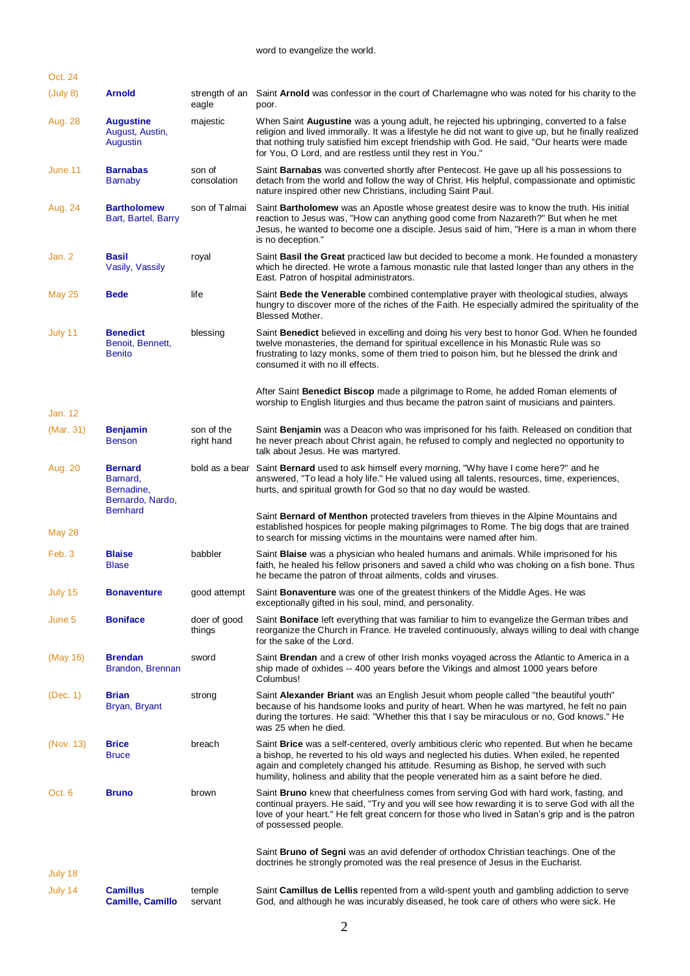## word to evangelize the world.

| Oct. 24       |                                                              |                          |                                                                                                                                                                                                                                                                                                                                                                        |
|---------------|--------------------------------------------------------------|--------------------------|------------------------------------------------------------------------------------------------------------------------------------------------------------------------------------------------------------------------------------------------------------------------------------------------------------------------------------------------------------------------|
| (July 8)      | <b>Arnold</b>                                                | strength of an<br>eagle  | Saint Arnold was confessor in the court of Charlemagne who was noted for his charity to the<br>poor.                                                                                                                                                                                                                                                                   |
| Aug. 28       | <b>Augustine</b><br>August, Austin,<br>Augustin              | majestic                 | When Saint <b>Augustine</b> was a young adult, he rejected his upbringing, converted to a false<br>religion and lived immorally. It was a lifestyle he did not want to give up, but he finally realized<br>that nothing truly satisfied him except friendship with God. He said, "Our hearts were made<br>for You, O Lord, and are restless until they rest in You."   |
| June 11       | <b>Barnabas</b><br><b>Barnaby</b>                            | son of<br>consolation    | Saint Barnabas was converted shortly after Pentecost. He gave up all his possessions to<br>detach from the world and follow the way of Christ. His helpful, compassionate and optimistic<br>nature inspired other new Christians, including Saint Paul.                                                                                                                |
| Aug. 24       | <b>Bartholomew</b><br>Bart, Bartel, Barry                    | son of Talmai            | Saint Bartholomew was an Apostle whose greatest desire was to know the truth. His initial<br>reaction to Jesus was, "How can anything good come from Nazareth?" But when he met<br>Jesus, he wanted to become one a disciple. Jesus said of him, "Here is a man in whom there<br>is no deception."                                                                     |
| Jan. 2        | <b>Basil</b><br>Vasily, Vassily                              | royal                    | Saint Basil the Great practiced law but decided to become a monk. He founded a monastery<br>which he directed. He wrote a famous monastic rule that lasted longer than any others in the<br>East. Patron of hospital administrators.                                                                                                                                   |
| <b>May 25</b> | <b>Bede</b>                                                  | life                     | Saint Bede the Venerable combined contemplative prayer with theological studies, always<br>hungry to discover more of the riches of the Faith. He especially admired the spirituality of the<br>Blessed Mother.                                                                                                                                                        |
| July 11       | <b>Benedict</b><br>Benoit, Bennett,<br><b>Benito</b>         | blessing                 | Saint <b>Benedict</b> believed in excelling and doing his very best to honor God. When he founded<br>twelve monasteries, the demand for spiritual excellence in his Monastic Rule was so<br>frustrating to lazy monks, some of them tried to poison him, but he blessed the drink and<br>consumed it with no ill effects.                                              |
| Jan. 12       |                                                              |                          | After Saint Benedict Biscop made a pilgrimage to Rome, he added Roman elements of<br>worship to English liturgies and thus became the patron saint of musicians and painters.                                                                                                                                                                                          |
| (Mar. 31)     | <b>Benjamin</b><br><b>Benson</b>                             | son of the<br>right hand | Saint <b>Benjamin</b> was a Deacon who was imprisoned for his faith. Released on condition that<br>he never preach about Christ again, he refused to comply and neglected no opportunity to<br>talk about Jesus. He was martyred.                                                                                                                                      |
| Aug. 20       | <b>Bernard</b><br>Barnard,<br>Bernadine,<br>Bernardo, Nardo, |                          | bold as a bear Saint <b>Bernard</b> used to ask himself every morning, "Why have I come here?" and he<br>answered, "To lead a holy life." He valued using all talents, resources, time, experiences,<br>hurts, and spiritual growth for God so that no day would be wasted.                                                                                            |
| <b>May 28</b> | <b>Bernhard</b>                                              |                          | Saint <b>Bernard of Menthon</b> protected travelers from thieves in the Alpine Mountains and<br>established hospices for people making pilgrimages to Rome. The big dogs that are trained<br>to search for missing victims in the mountains were named after him.                                                                                                      |
| Feb. 3        | <b>Blaise</b><br><b>Blase</b>                                | babbler                  | Saint Blaise was a physician who healed humans and animals. While imprisoned for his<br>faith, he healed his fellow prisoners and saved a child who was choking on a fish bone. Thus<br>he became the patron of throat ailments, colds and viruses.                                                                                                                    |
| July 15       | <b>Bonaventure</b>                                           | good attempt             | Saint <b>Bonaventure</b> was one of the greatest thinkers of the Middle Ages. He was<br>exceptionally gifted in his soul, mind, and personality.                                                                                                                                                                                                                       |
| June 5        | <b>Boniface</b>                                              | doer of good<br>things   | Saint Boniface left everything that was familiar to him to evangelize the German tribes and<br>reorganize the Church in France. He traveled continuously, always willing to deal with change<br>for the sake of the Lord.                                                                                                                                              |
| (May 16)      | <b>Brendan</b><br>Brandon, Brennan                           | sword                    | Saint Brendan and a crew of other Irish monks voyaged across the Atlantic to America in a<br>ship made of oxhides -- 400 years before the Vikings and almost 1000 years before<br>Columbus!                                                                                                                                                                            |
| (Dec. 1)      | <b>Brian</b><br>Bryan, Bryant                                | strong                   | Saint Alexander Briant was an English Jesuit whom people called "the beautiful youth"<br>because of his handsome looks and purity of heart. When he was martyred, he felt no pain<br>during the tortures. He said: "Whether this that I say be miraculous or no, God knows." He<br>was 25 when he died.                                                                |
| (Nov. 13)     | <b>Brice</b><br><b>Bruce</b>                                 | breach                   | Saint Brice was a self-centered, overly ambitious cleric who repented. But when he became<br>a bishop, he reverted to his old ways and neglected his duties. When exiled, he repented<br>again and completely changed his attitude. Resuming as Bishop, he served with such<br>humility, holiness and ability that the people venerated him as a saint before he died. |
| Oct. 6        | <b>Bruno</b>                                                 | brown                    | Saint <b>Bruno</b> knew that cheerfulness comes from serving God with hard work, fasting, and<br>continual prayers. He said, "Try and you will see how rewarding it is to serve God with all the<br>love of your heart." He felt great concern for those who lived in Satan's grip and is the patron<br>of possessed people.                                           |
| July 18       |                                                              |                          | Saint <b>Bruno of Segni</b> was an avid defender of orthodox Christian teachings. One of the<br>doctrines he strongly promoted was the real presence of Jesus in the Eucharist.                                                                                                                                                                                        |
| July 14       | <b>Camillus</b><br><b>Camille, Camillo</b>                   | temple<br>servant        | Saint Camillus de Lellis repented from a wild-spent youth and gambling addiction to serve<br>God, and although he was incurably diseased, he took care of others who were sick. He                                                                                                                                                                                     |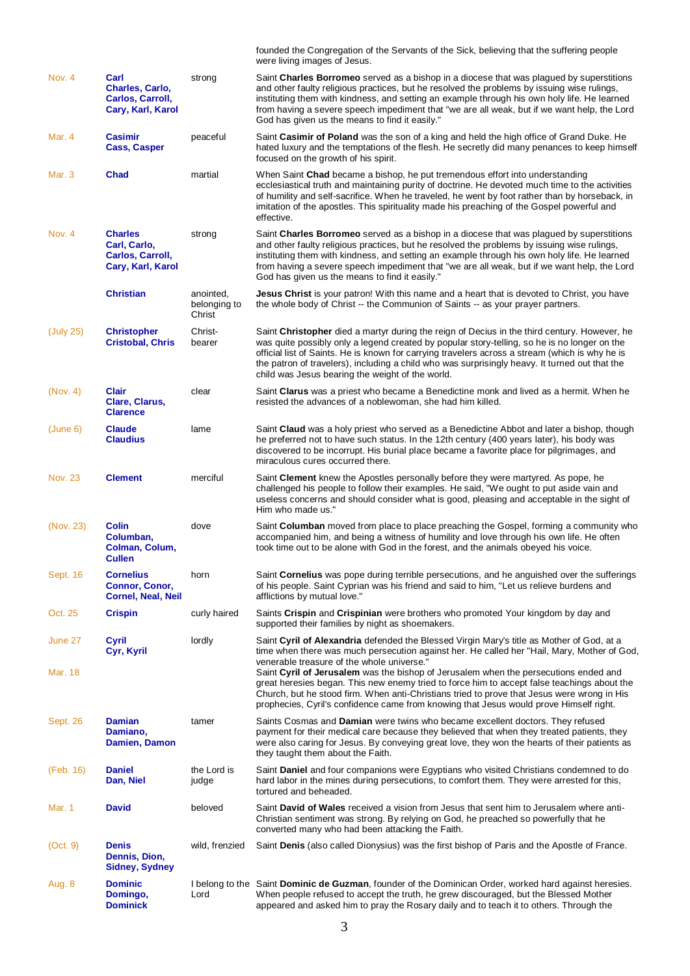|                |                                                                         |                                     | founded the Congregation of the Servants of the Sick, believing that the suffering people<br>were living images of Jesus.                                                                                                                                                                                                                                                                                                                             |
|----------------|-------------------------------------------------------------------------|-------------------------------------|-------------------------------------------------------------------------------------------------------------------------------------------------------------------------------------------------------------------------------------------------------------------------------------------------------------------------------------------------------------------------------------------------------------------------------------------------------|
| Nov. 4         | Carl<br>Charles, Carlo,<br>Carlos, Carroll,<br>Cary, Karl, Karol        | strong                              | Saint Charles Borromeo served as a bishop in a diocese that was plaqued by superstitions<br>and other faulty religious practices, but he resolved the problems by issuing wise rulings,<br>instituting them with kindness, and setting an example through his own holy life. He learned<br>from having a severe speech impediment that "we are all weak, but if we want help, the Lord<br>God has given us the means to find it easily."              |
| Mar. 4         | <b>Casimir</b><br><b>Cass, Casper</b>                                   | peaceful                            | Saint Casimir of Poland was the son of a king and held the high office of Grand Duke. He<br>hated luxury and the temptations of the flesh. He secretly did many penances to keep himself<br>focused on the growth of his spirit.                                                                                                                                                                                                                      |
| Mar. 3         | <b>Chad</b>                                                             | martial                             | When Saint Chad became a bishop, he put tremendous effort into understanding<br>ecclesiastical truth and maintaining purity of doctrine. He devoted much time to the activities<br>of humility and self-sacrifice. When he traveled, he went by foot rather than by horseback, in<br>imitation of the apostles. This spirituality made his preaching of the Gospel powerful and<br>effective.                                                         |
| Nov. 4         | <b>Charles</b><br>Carl, Carlo,<br>Carlos, Carroll,<br>Cary, Karl, Karol | strong                              | Saint Charles Borromeo served as a bishop in a diocese that was plagued by superstitions<br>and other faulty religious practices, but he resolved the problems by issuing wise rulings,<br>instituting them with kindness, and setting an example through his own holy life. He learned<br>from having a severe speech impediment that "we are all weak, but if we want help, the Lord<br>God has given us the means to find it easily."              |
|                | <b>Christian</b>                                                        | anointed,<br>belonging to<br>Christ | <b>Jesus Christ</b> is your patron! With this name and a heart that is devoted to Christ, you have<br>the whole body of Christ -- the Communion of Saints -- as your prayer partners.                                                                                                                                                                                                                                                                 |
| (July 25)      | <b>Christopher</b><br><b>Cristobal, Chris</b>                           | Christ-<br>bearer                   | Saint Christopher died a martyr during the reign of Decius in the third century. However, he<br>was quite possibly only a legend created by popular story-telling, so he is no longer on the<br>official list of Saints. He is known for carrying travelers across a stream (which is why he is<br>the patron of travelers), including a child who was surprisingly heavy. It turned out that the<br>child was Jesus bearing the weight of the world. |
| (Nov. 4)       | <b>Clair</b><br>Clare, Clarus,<br><b>Clarence</b>                       | clear                               | Saint Clarus was a priest who became a Benedictine monk and lived as a hermit. When he<br>resisted the advances of a noblewoman, she had him killed.                                                                                                                                                                                                                                                                                                  |
| (June 6)       | <b>Claude</b><br><b>Claudius</b>                                        | lame                                | Saint Claud was a holy priest who served as a Benedictine Abbot and later a bishop, though<br>he preferred not to have such status. In the 12th century (400 years later), his body was<br>discovered to be incorrupt. His burial place became a favorite place for pilgrimages, and<br>miraculous cures occurred there.                                                                                                                              |
| <b>Nov. 23</b> | <b>Clement</b>                                                          | merciful                            | Saint Clement knew the Apostles personally before they were martyred. As pope, he<br>challenged his people to follow their examples. He said, "We ought to put aside vain and<br>useless concerns and should consider what is good, pleasing and acceptable in the sight of<br>Him who made us."                                                                                                                                                      |
| (Nov. 23)      | <b>Colin</b><br>Columban,<br>Colman, Colum,<br><b>Cullen</b>            | dove                                | Saint Columban moved from place to place preaching the Gospel, forming a community who<br>accompanied him, and being a witness of humility and love through his own life. He often<br>took time out to be alone with God in the forest, and the animals obeyed his voice.                                                                                                                                                                             |
| Sept. 16       | <b>Cornelius</b><br>Connor, Conor,<br><b>Cornel, Neal, Neil</b>         | horn                                | Saint Cornelius was pope during terrible persecutions, and he anguished over the sufferings<br>of his people. Saint Cyprian was his friend and said to him, "Let us relieve burdens and<br>afflictions by mutual love."                                                                                                                                                                                                                               |
| Oct. 25        | <b>Crispin</b>                                                          | curly haired                        | Saints Crispin and Crispinian were brothers who promoted Your kingdom by day and<br>supported their families by night as shoemakers.                                                                                                                                                                                                                                                                                                                  |
| June 27        | Cyril<br>Cyr, Kyril                                                     | lordly                              | Saint Cyril of Alexandria defended the Blessed Virgin Mary's title as Mother of God, at a<br>time when there was much persecution against her. He called her "Hail, Mary, Mother of God,<br>venerable treasure of the whole universe."                                                                                                                                                                                                                |
| Mar. 18        |                                                                         |                                     | Saint Cyril of Jerusalem was the bishop of Jerusalem when the persecutions ended and<br>great heresies began. This new enemy tried to force him to accept false teachings about the<br>Church, but he stood firm. When anti-Christians tried to prove that Jesus were wrong in His<br>prophecies, Cyril's confidence came from knowing that Jesus would prove Himself right.                                                                          |
| Sept. 26       | <b>Damian</b><br>Damiano,<br>Damien, Damon                              | tamer                               | Saints Cosmas and Damian were twins who became excellent doctors. They refused<br>payment for their medical care because they believed that when they treated patients, they<br>were also caring for Jesus. By conveying great love, they won the hearts of their patients as<br>they taught them about the Faith.                                                                                                                                    |
| (Feb. 16)      | <b>Daniel</b><br>Dan, Niel                                              | the Lord is<br>judge                | Saint Daniel and four companions were Egyptians who visited Christians condemned to do<br>hard labor in the mines during persecutions, to comfort them. They were arrested for this,<br>tortured and beheaded.                                                                                                                                                                                                                                        |
| Mar. 1         | <b>David</b>                                                            | beloved                             | Saint David of Wales received a vision from Jesus that sent him to Jerusalem where anti-<br>Christian sentiment was strong. By relying on God, he preached so powerfully that he<br>converted many who had been attacking the Faith.                                                                                                                                                                                                                  |
| (Oct. 9)       | <b>Denis</b><br>Dennis, Dion,<br><b>Sidney, Sydney</b>                  | wild, frenzied                      | Saint Denis (also called Dionysius) was the first bishop of Paris and the Apostle of France.                                                                                                                                                                                                                                                                                                                                                          |
| Aug. 8         | <b>Dominic</b><br>Domingo,<br><b>Dominick</b>                           | Lord                                | I belong to the Saint Dominic de Guzman, founder of the Dominican Order, worked hard against heresies.<br>When people refused to accept the truth, he grew discouraged, but the Blessed Mother<br>appeared and asked him to pray the Rosary daily and to teach it to others. Through the                                                                                                                                                              |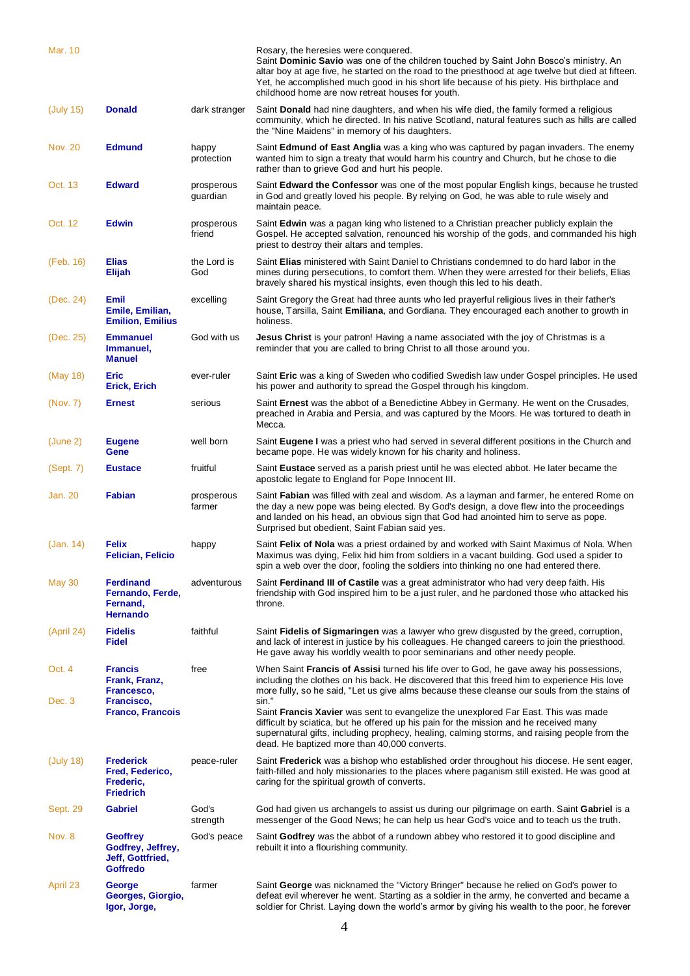| Mar. 10        |                                                                             |                        | Rosary, the heresies were conquered.<br>Saint Dominic Savio was one of the children touched by Saint John Bosco's ministry. An<br>altar boy at age five, he started on the road to the priesthood at age twelve but died at fifteen.<br>Yet, he accomplished much good in his short life because of his piety. His birthplace and<br>childhood home are now retreat houses for youth. |
|----------------|-----------------------------------------------------------------------------|------------------------|---------------------------------------------------------------------------------------------------------------------------------------------------------------------------------------------------------------------------------------------------------------------------------------------------------------------------------------------------------------------------------------|
| (July 15)      | <b>Donald</b>                                                               | dark stranger          | Saint <b>Donald</b> had nine daughters, and when his wife died, the family formed a religious<br>community, which he directed. In his native Scotland, natural features such as hills are called<br>the "Nine Maidens" in memory of his daughters.                                                                                                                                    |
| <b>Nov. 20</b> | <b>Edmund</b>                                                               | happy<br>protection    | Saint Edmund of East Anglia was a king who was captured by pagan invaders. The enemy<br>wanted him to sign a treaty that would harm his country and Church, but he chose to die<br>rather than to grieve God and hurt his people.                                                                                                                                                     |
| Oct. 13        | <b>Edward</b>                                                               | prosperous<br>guardian | Saint <b>Edward the Confessor</b> was one of the most popular English kings, because he trusted<br>in God and greatly loved his people. By relying on God, he was able to rule wisely and<br>maintain peace.                                                                                                                                                                          |
| Oct. 12        | <b>Edwin</b>                                                                | prosperous<br>friend   | Saint <b>Edwin</b> was a pagan king who listened to a Christian preacher publicly explain the<br>Gospel. He accepted salvation, renounced his worship of the gods, and commanded his high<br>priest to destroy their altars and temples.                                                                                                                                              |
| (Feb. 16)      | <b>Elias</b><br>Elijah                                                      | the Lord is<br>God     | Saint <b>Elias</b> ministered with Saint Daniel to Christians condemned to do hard labor in the<br>mines during persecutions, to comfort them. When they were arrested for their beliefs, Elias<br>bravely shared his mystical insights, even though this led to his death.                                                                                                           |
| (Dec. 24)      | Emil<br>Emile, Emilian,<br><b>Emilion, Emilius</b>                          | excelling              | Saint Gregory the Great had three aunts who led prayerful religious lives in their father's<br>house, Tarsilla, Saint Emiliana, and Gordiana. They encouraged each another to growth in<br>holiness.                                                                                                                                                                                  |
| (Dec. 25)      | <b>Emmanuel</b><br>Immanuel,<br><b>Manuel</b>                               | God with us            | <b>Jesus Christ</b> is your patron! Having a name associated with the joy of Christmas is a<br>reminder that you are called to bring Christ to all those around you.                                                                                                                                                                                                                  |
| (May 18)       | <b>Eric</b><br>Erick, Erich                                                 | ever-ruler             | Saint Eric was a king of Sweden who codified Swedish law under Gospel principles. He used<br>his power and authority to spread the Gospel through his kingdom.                                                                                                                                                                                                                        |
| (Nov. 7)       | <b>Ernest</b>                                                               | serious                | Saint <b>Ernest</b> was the abbot of a Benedictine Abbey in Germany. He went on the Crusades,<br>preached in Arabia and Persia, and was captured by the Moors. He was tortured to death in<br>Mecca.                                                                                                                                                                                  |
| (June 2)       | <b>Eugene</b><br>Gene                                                       | well born              | Saint <b>Eugene I</b> was a priest who had served in several different positions in the Church and<br>became pope. He was widely known for his charity and holiness.                                                                                                                                                                                                                  |
| (Sept. 7)      | <b>Eustace</b>                                                              | fruitful               | Saint <b>Eustace</b> served as a parish priest until he was elected abbot. He later became the<br>apostolic legate to England for Pope Innocent III.                                                                                                                                                                                                                                  |
| Jan. 20        | <b>Fabian</b>                                                               | prosperous<br>farmer   | Saint Fabian was filled with zeal and wisdom. As a layman and farmer, he entered Rome on<br>the day a new pope was being elected. By God's design, a dove flew into the proceedings<br>and landed on his head, an obvious sign that God had anointed him to serve as pope.<br>Surprised but obedient, Saint Fabian said yes.                                                          |
| (Jan. 14)      | Felix<br><b>Felician, Felicio</b>                                           | happy                  | Saint Felix of Nola was a priest ordained by and worked with Saint Maximus of Nola. When<br>Maximus was dying, Felix hid him from soldiers in a vacant building. God used a spider to<br>spin a web over the door, fooling the soldiers into thinking no one had entered there.                                                                                                       |
| May 30         | <b>Ferdinand</b><br>Fernando, Ferde,<br>Fernand,<br><b>Hernando</b>         | adventurous            | Saint <b>Ferdinand III of Castile</b> was a great administrator who had very deep faith. His<br>friendship with God inspired him to be a just ruler, and he pardoned those who attacked his<br>throne.                                                                                                                                                                                |
| (April 24)     | <b>Fidelis</b><br><b>Fidel</b>                                              | faithful               | Saint Fidelis of Sigmaringen was a lawyer who grew disgusted by the greed, corruption,<br>and lack of interest in justice by his colleagues. He changed careers to join the priesthood.<br>He gave away his worldly wealth to poor seminarians and other needy people.                                                                                                                |
| Oct. 4         | <b>Francis</b><br>Frank, Franz,<br>Francesco,                               | free                   | When Saint <b>Francis of Assisi</b> turned his life over to God, he gave away his possessions,<br>including the clothes on his back. He discovered that this freed him to experience His love<br>more fully, so he said, "Let us give alms because these cleanse our souls from the stains of                                                                                         |
| Dec. 3         | Francisco,<br><b>Franco, Francois</b>                                       |                        | sin."<br>Saint Francis Xavier was sent to evangelize the unexplored Far East. This was made<br>difficult by sciatica, but he offered up his pain for the mission and he received many<br>supernatural gifts, including prophecy, healing, calming storms, and raising people from the<br>dead. He baptized more than 40,000 converts.                                                 |
| (July 18)      | <b>Frederick</b><br>Fred, Federico,<br>Frederic,<br><b>Friedrich</b>        | peace-ruler            | Saint <b>Frederick</b> was a bishop who established order throughout his diocese. He sent eager,<br>faith-filled and holy missionaries to the places where paganism still existed. He was good at<br>caring for the spiritual growth of converts.                                                                                                                                     |
| Sept. 29       | <b>Gabriel</b>                                                              | God's<br>strength      | God had given us archangels to assist us during our pilgrimage on earth. Saint Gabriel is a<br>messenger of the Good News; he can help us hear God's voice and to teach us the truth.                                                                                                                                                                                                 |
| Nov. 8         | <b>Geoffrey</b><br>Godfrey, Jeffrey,<br>Jeff, Gottfried,<br><b>Goffredo</b> | God's peace            | Saint Godfrey was the abbot of a rundown abbey who restored it to good discipline and<br>rebuilt it into a flourishing community.                                                                                                                                                                                                                                                     |
| April 23       | George<br>Georges, Giorgio,<br>Igor, Jorge,                                 | farmer                 | Saint George was nicknamed the "Victory Bringer" because he relied on God's power to<br>defeat evil wherever he went. Starting as a soldier in the army, he converted and became a<br>soldier for Christ. Laying down the world's armor by giving his wealth to the poor, he forever                                                                                                  |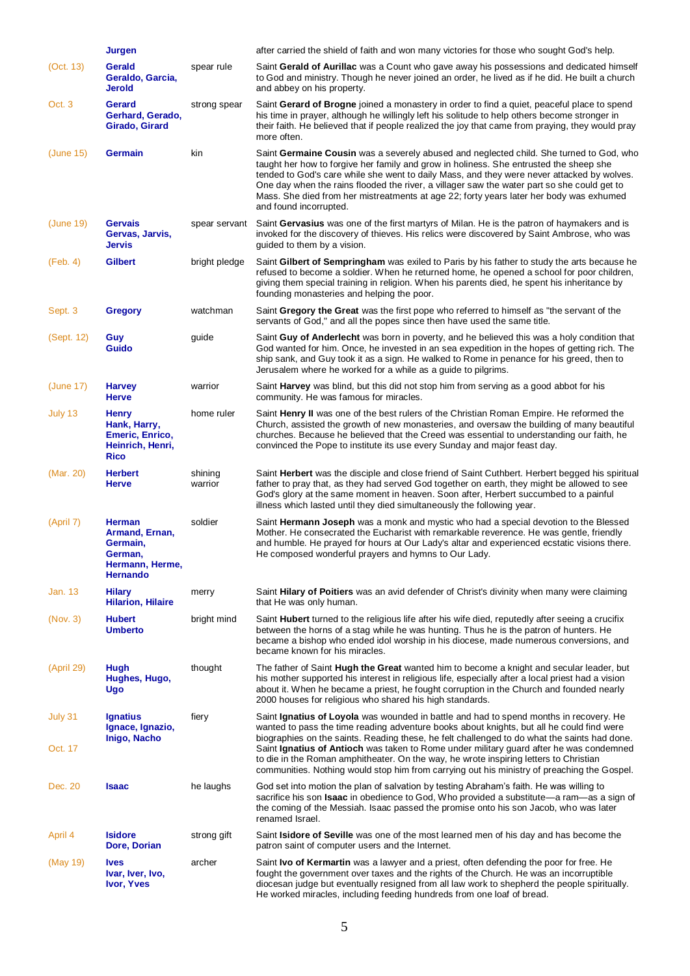|            | Jurgen                                                                                       |                    | after carried the shield of faith and won many victories for those who sought God's help.                                                                                                                                                                                                                                                                                                                                                                                                           |
|------------|----------------------------------------------------------------------------------------------|--------------------|-----------------------------------------------------------------------------------------------------------------------------------------------------------------------------------------------------------------------------------------------------------------------------------------------------------------------------------------------------------------------------------------------------------------------------------------------------------------------------------------------------|
| (Oct. 13)  | Gerald<br>Geraldo, Garcia,<br>Jerold                                                         | spear rule         | Saint Gerald of Aurillac was a Count who gave away his possessions and dedicated himself<br>to God and ministry. Though he never joined an order, he lived as if he did. He built a church<br>and abbey on his property.                                                                                                                                                                                                                                                                            |
| Oct. 3     | Gerard<br>Gerhard, Gerado,<br><b>Girado, Girard</b>                                          | strong spear       | Saint Gerard of Brogne joined a monastery in order to find a quiet, peaceful place to spend<br>his time in prayer, although he willingly left his solitude to help others become stronger in<br>their faith. He believed that if people realized the joy that came from praying, they would pray<br>more often.                                                                                                                                                                                     |
| (June 15)  | <b>Germain</b>                                                                               | kin                | Saint Germaine Cousin was a severely abused and neglected child. She turned to God, who<br>taught her how to forgive her family and grow in holiness. She entrusted the sheep she<br>tended to God's care while she went to daily Mass, and they were never attacked by wolves.<br>One day when the rains flooded the river, a villager saw the water part so she could get to<br>Mass. She died from her mistreatments at age 22; forty years later her body was exhumed<br>and found incorrupted. |
| (June 19)  | <b>Gervais</b><br>Gervas, Jarvis,<br><b>Jervis</b>                                           | spear servant      | Saint Gervasius was one of the first martyrs of Milan. He is the patron of haymakers and is<br>invoked for the discovery of thieves. His relics were discovered by Saint Ambrose, who was<br>guided to them by a vision.                                                                                                                                                                                                                                                                            |
| (Feb. 4)   | <b>Gilbert</b>                                                                               | bright pledge      | Saint Gilbert of Sempringham was exiled to Paris by his father to study the arts because he<br>refused to become a soldier. When he returned home, he opened a school for poor children,<br>giving them special training in religion. When his parents died, he spent his inheritance by<br>founding monasteries and helping the poor.                                                                                                                                                              |
| Sept. 3    | <b>Gregory</b>                                                                               | watchman           | Saint Gregory the Great was the first pope who referred to himself as "the servant of the<br>servants of God," and all the popes since then have used the same title.                                                                                                                                                                                                                                                                                                                               |
| (Sept. 12) | Guy<br><b>Guido</b>                                                                          | guide              | Saint Guy of Anderlecht was born in poverty, and he believed this was a holy condition that<br>God wanted for him. Once, he invested in an sea expedition in the hopes of getting rich. The<br>ship sank, and Guy took it as a sign. He walked to Rome in penance for his greed, then to<br>Jerusalem where he worked for a while as a guide to pilgrims.                                                                                                                                           |
| (June 17)  | <b>Harvey</b><br><b>Herve</b>                                                                | warrior            | Saint Harvey was blind, but this did not stop him from serving as a good abbot for his<br>community. He was famous for miracles.                                                                                                                                                                                                                                                                                                                                                                    |
| July 13    | <b>Henry</b><br>Hank, Harry,<br>Emeric, Enrico,<br>Heinrich, Henri,<br><b>Rico</b>           | home ruler         | Saint Henry II was one of the best rulers of the Christian Roman Empire. He reformed the<br>Church, assisted the growth of new monasteries, and oversaw the building of many beautiful<br>churches. Because he believed that the Creed was essential to understanding our faith, he<br>convinced the Pope to institute its use every Sunday and major feast day.                                                                                                                                    |
| (Mar. 20)  | <b>Herbert</b><br><b>Herve</b>                                                               | shining<br>warrior | Saint Herbert was the disciple and close friend of Saint Cuthbert. Herbert begged his spiritual<br>father to pray that, as they had served God together on earth, they might be allowed to see<br>God's glory at the same moment in heaven. Soon after, Herbert succumbed to a painful<br>illness which lasted until they died simultaneously the following year.                                                                                                                                   |
| (April 7)  | <b>Herman</b><br>Armand, Ernan,<br>Germain,<br>German,<br>Hermann, Herme,<br><b>Hernando</b> | soldier            | Saint Hermann Joseph was a monk and mystic who had a special devotion to the Blessed<br>Mother. He consecrated the Eucharist with remarkable reverence. He was gentle, friendly<br>and humble. He prayed for hours at Our Lady's altar and experienced ecstatic visions there.<br>He composed wonderful prayers and hymns to Our Lady.                                                                                                                                                              |
| Jan. 13    | <b>Hilary</b><br><b>Hilarion, Hilaire</b>                                                    | merry              | Saint Hilary of Poitiers was an avid defender of Christ's divinity when many were claiming<br>that He was only human.                                                                                                                                                                                                                                                                                                                                                                               |
| (Nov. 3)   | <b>Hubert</b><br><b>Umberto</b>                                                              | bright mind        | Saint Hubert turned to the religious life after his wife died, reputedly after seeing a crucifix<br>between the horns of a stag while he was hunting. Thus he is the patron of hunters. He<br>became a bishop who ended idol worship in his diocese, made numerous conversions, and<br>became known for his miracles.                                                                                                                                                                               |
| (April 29) | Hugh<br>Hughes, Hugo,<br>Ugo                                                                 | thought            | The father of Saint Hugh the Great wanted him to become a knight and secular leader, but<br>his mother supported his interest in religious life, especially after a local priest had a vision<br>about it. When he became a priest, he fought corruption in the Church and founded nearly<br>2000 houses for religious who shared his high standards.                                                                                                                                               |
| July 31    | <b>Ignatius</b><br>Ignace, Ignazio,<br>Inigo, Nacho                                          | fiery              | Saint Ignatius of Loyola was wounded in battle and had to spend months in recovery. He<br>wanted to pass the time reading adventure books about knights, but all he could find were<br>biographies on the saints. Reading these, he felt challenged to do what the saints had done.                                                                                                                                                                                                                 |
| Oct. 17    |                                                                                              |                    | Saint Ignatius of Antioch was taken to Rome under military guard after he was condemned<br>to die in the Roman amphitheater. On the way, he wrote inspiring letters to Christian<br>communities. Nothing would stop him from carrying out his ministry of preaching the Gospel.                                                                                                                                                                                                                     |
| Dec. 20    | <b>Isaac</b>                                                                                 | he laughs          | God set into motion the plan of salvation by testing Abraham's faith. He was willing to<br>sacrifice his son <b>Isaac</b> in obedience to God, Who provided a substitute—a ram—as a sign of<br>the coming of the Messiah. Isaac passed the promise onto his son Jacob, who was later<br>renamed Israel.                                                                                                                                                                                             |
| April 4    | <b>Isidore</b><br>Dore, Dorian                                                               | strong gift        | Saint Isidore of Seville was one of the most learned men of his day and has become the<br>patron saint of computer users and the Internet.                                                                                                                                                                                                                                                                                                                                                          |
| (May 19)   | <b>Ives</b><br>Ivar, Iver, Ivo,<br><b>Ivor, Yves</b>                                         | archer             | Saint Ivo of Kermartin was a lawyer and a priest, often defending the poor for free. He<br>fought the government over taxes and the rights of the Church. He was an incorruptible<br>diocesan judge but eventually resigned from all law work to shepherd the people spiritually.<br>He worked miracles, including feeding hundreds from one loaf of bread.                                                                                                                                         |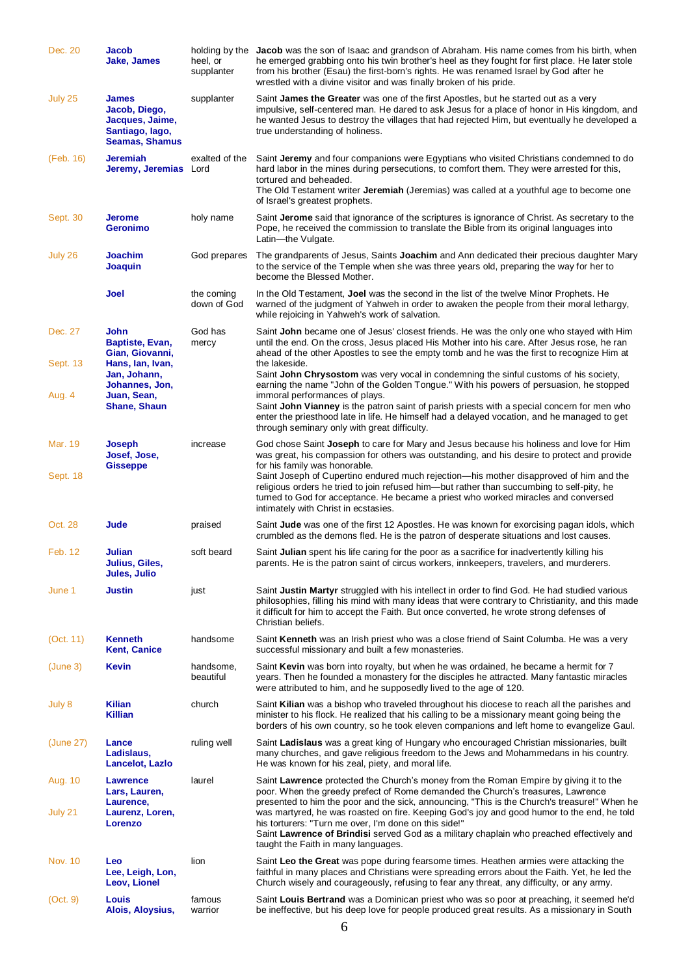| Dec. 20              | Jacob<br>Jake, James                                                                         | holding by the<br>heel, or<br>supplanter | <b>Jacob</b> was the son of Isaac and grandson of Abraham. His name comes from his birth, when<br>he emerged grabbing onto his twin brother's heel as they fought for first place. He later stole<br>from his brother (Esau) the first-born's rights. He was renamed Israel by God after he<br>wrestled with a divine visitor and was finally broken of his pride. |
|----------------------|----------------------------------------------------------------------------------------------|------------------------------------------|--------------------------------------------------------------------------------------------------------------------------------------------------------------------------------------------------------------------------------------------------------------------------------------------------------------------------------------------------------------------|
| July 25              | <b>James</b><br>Jacob, Diego,<br>Jacques, Jaime,<br>Santiago, Iago,<br><b>Seamas, Shamus</b> | supplanter                               | Saint <b>James the Greater</b> was one of the first Apostles, but he started out as a very<br>impulsive, self-centered man. He dared to ask Jesus for a place of honor in His kingdom, and<br>he wanted Jesus to destroy the villages that had rejected Him, but eventually he developed a<br>true understanding of holiness.                                      |
| (Feb. 16)            | <b>Jeremiah</b><br>Jeremy, Jeremias Lord                                                     | exalted of the                           | Saint Jeremy and four companions were Egyptians who visited Christians condemned to do<br>hard labor in the mines during persecutions, to comfort them. They were arrested for this,<br>tortured and beheaded.<br>The Old Testament writer <b>Jeremiah</b> (Jeremias) was called at a youthful age to become one<br>of Israel's greatest prophets.                 |
| Sept. 30             | <b>Jerome</b><br><b>Geronimo</b>                                                             | holy name                                | Saint Jerome said that ignorance of the scriptures is ignorance of Christ. As secretary to the<br>Pope, he received the commission to translate the Bible from its original languages into<br>Latin-the Vulgate.                                                                                                                                                   |
| July 26              | <b>Joachim</b><br>Joaquin                                                                    | God prepares                             | The grandparents of Jesus, Saints Joachim and Ann dedicated their precious daughter Mary<br>to the service of the Temple when she was three years old, preparing the way for her to<br>become the Blessed Mother.                                                                                                                                                  |
|                      | Joel                                                                                         | the coming<br>down of God                | In the Old Testament, Joel was the second in the list of the twelve Minor Prophets. He<br>warned of the judgment of Yahweh in order to awaken the people from their moral lethargy,<br>while rejoicing in Yahweh's work of salvation.                                                                                                                              |
| Dec. 27              | John<br>Baptiste, Evan,<br>Gian, Giovanni,                                                   | God has<br>mercy                         | Saint John became one of Jesus' closest friends. He was the only one who stayed with Him<br>until the end. On the cross, Jesus placed His Mother into his care. After Jesus rose, he ran<br>ahead of the other Apostles to see the empty tomb and he was the first to recognize Him at                                                                             |
| Sept. 13             | Hans, lan, Ivan,<br>Jan, Johann,<br>Johannes, Jon,                                           |                                          | the lakeside.<br>Saint John Chrysostom was very vocal in condemning the sinful customs of his society,<br>earning the name "John of the Golden Tongue." With his powers of persuasion, he stopped                                                                                                                                                                  |
| Aug. 4               | Juan, Sean,<br><b>Shane, Shaun</b>                                                           |                                          | immoral performances of plays.<br>Saint John Vianney is the patron saint of parish priests with a special concern for men who<br>enter the priesthood late in life. He himself had a delayed vocation, and he managed to get<br>through seminary only with great difficulty.                                                                                       |
| Mar. 19              | Joseph<br>Josef, Jose,<br><b>Gisseppe</b>                                                    | increase                                 | God chose Saint Joseph to care for Mary and Jesus because his holiness and love for Him<br>was great, his compassion for others was outstanding, and his desire to protect and provide<br>for his family was honorable.                                                                                                                                            |
| Sept. 18             |                                                                                              |                                          | Saint Joseph of Cupertino endured much rejection—his mother disapproved of him and the<br>religious orders he tried to join refused him—but rather than succumbing to self-pity, he<br>turned to God for acceptance. He became a priest who worked miracles and conversed<br>intimately with Christ in ecstasies.                                                  |
| Oct. 28              | Jude                                                                                         | praised                                  | Saint Jude was one of the first 12 Apostles. He was known for exorcising pagan idols, which<br>crumbled as the demons fled. He is the patron of desperate situations and lost causes.                                                                                                                                                                              |
| Feb. 12              | Julian<br>Julius, Giles,<br>Jules, Julio                                                     | soft beard                               | Saint Julian spent his life caring for the poor as a sacrifice for inadvertently killing his<br>parents. He is the patron saint of circus workers, innkeepers, travelers, and murderers.                                                                                                                                                                           |
| June 1               | Justin                                                                                       | just                                     | Saint Justin Martyr struggled with his intellect in order to find God. He had studied various<br>philosophies, filling his mind with many ideas that were contrary to Christianity, and this made<br>it difficult for him to accept the Faith. But once converted, he wrote strong defenses of<br>Christian beliefs.                                               |
| (Oct. 11)            | <b>Kenneth</b><br><b>Kent, Canice</b>                                                        | handsome                                 | Saint Kenneth was an Irish priest who was a close friend of Saint Columba. He was a very<br>successful missionary and built a few monasteries.                                                                                                                                                                                                                     |
| (June <sub>3</sub> ) | <b>Kevin</b>                                                                                 | handsome,<br>beautiful                   | Saint Kevin was born into royalty, but when he was ordained, he became a hermit for 7<br>years. Then he founded a monastery for the disciples he attracted. Many fantastic miracles<br>were attributed to him, and he supposedly lived to the age of 120.                                                                                                          |
| July 8               | <b>Kilian</b><br><b>Killian</b>                                                              | church                                   | Saint Kilian was a bishop who traveled throughout his diocese to reach all the parishes and<br>minister to his flock. He realized that his calling to be a missionary meant going being the<br>borders of his own country, so he took eleven companions and left home to evangelize Gaul.                                                                          |
| (June 27)            | Lance<br>Ladislaus,<br>Lancelot, Lazlo                                                       | ruling well                              | Saint Ladislaus was a great king of Hungary who encouraged Christian missionaries, built<br>many churches, and gave religious freedom to the Jews and Mohammedans in his country.<br>He was known for his zeal, piety, and moral life.                                                                                                                             |
| Aug. 10              | <b>Lawrence</b><br>Lars, Lauren,<br>Laurence,                                                | laurel                                   | Saint Lawrence protected the Church's money from the Roman Empire by giving it to the<br>poor. When the greedy prefect of Rome demanded the Church's treasures, Lawrence<br>presented to him the poor and the sick, announcing, "This is the Church's treasure!" When he                                                                                           |
| July 21              | Laurenz, Loren,<br>Lorenzo                                                                   |                                          | was martyred, he was roasted on fire. Keeping God's joy and good humor to the end, he told<br>his torturers: "Turn me over, I'm done on this side!"<br>Saint Lawrence of Brindisi served God as a military chaplain who preached effectively and<br>taught the Faith in many languages.                                                                            |
| <b>Nov. 10</b>       | Leo<br>Lee, Leigh, Lon,<br>Leov, Lionel                                                      | lion                                     | Saint Leo the Great was pope during fearsome times. Heathen armies were attacking the<br>faithful in many places and Christians were spreading errors about the Faith. Yet, he led the<br>Church wisely and courageously, refusing to fear any threat, any difficulty, or any army.                                                                                |
| (Oct. 9)             | Louis<br>Alois, Aloysius,                                                                    | famous<br>warrior                        | Saint Louis Bertrand was a Dominican priest who was so poor at preaching, it seemed he'd<br>be ineffective, but his deep love for people produced great results. As a missionary in South                                                                                                                                                                          |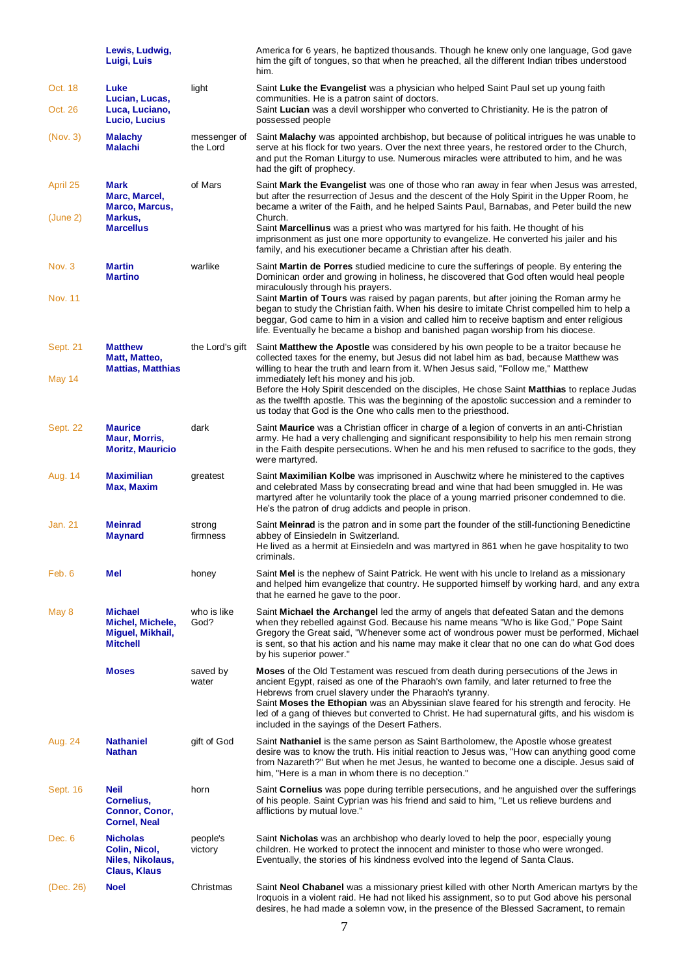|                          | Lewis, Ludwig,<br>Luigi, Luis                                               |                          | America for 6 years, he baptized thousands. Though he knew only one language, God gave<br>him the gift of tongues, so that when he preached, all the different Indian tribes understood<br>him.                                                                                                                                                                                                                                                                                                     |
|--------------------------|-----------------------------------------------------------------------------|--------------------------|-----------------------------------------------------------------------------------------------------------------------------------------------------------------------------------------------------------------------------------------------------------------------------------------------------------------------------------------------------------------------------------------------------------------------------------------------------------------------------------------------------|
| Oct. 18<br>Oct. 26       | Luke<br>Lucian, Lucas,<br>Luca, Luciano,                                    | light                    | Saint Luke the Evangelist was a physician who helped Saint Paul set up young faith<br>communities. He is a patron saint of doctors.<br>Saint Lucian was a devil worshipper who converted to Christianity. He is the patron of                                                                                                                                                                                                                                                                       |
|                          | <b>Lucio, Lucius</b>                                                        |                          | possessed people                                                                                                                                                                                                                                                                                                                                                                                                                                                                                    |
| (Nov. 3)                 | <b>Malachy</b><br><b>Malachi</b>                                            | messenger of<br>the Lord | Saint Malachy was appointed archbishop, but because of political intrigues he was unable to<br>serve at his flock for two years. Over the next three years, he restored order to the Church,<br>and put the Roman Liturgy to use. Numerous miracles were attributed to him, and he was<br>had the gift of prophecy.                                                                                                                                                                                 |
| April 25<br>(June 2)     | Mark<br>Marc, Marcel,<br>Marco, Marcus,<br>Markus,<br><b>Marcellus</b>      | of Mars                  | Saint Mark the Evangelist was one of those who ran away in fear when Jesus was arrested,<br>but after the resurrection of Jesus and the descent of the Holy Spirit in the Upper Room, he<br>became a writer of the Faith, and he helped Saints Paul, Barnabas, and Peter build the new<br>Church.<br>Saint <b>Marcellinus</b> was a priest who was martyred for his faith. He thought of his                                                                                                        |
|                          |                                                                             |                          | imprisonment as just one more opportunity to evangelize. He converted his jailer and his<br>family, and his executioner became a Christian after his death.                                                                                                                                                                                                                                                                                                                                         |
| Nov. 3<br><b>Nov. 11</b> | <b>Martin</b><br><b>Martino</b>                                             | warlike                  | Saint Martin de Porres studied medicine to cure the sufferings of people. By entering the<br>Dominican order and growing in holiness, he discovered that God often would heal people<br>miraculously through his prayers.<br>Saint Martin of Tours was raised by pagan parents, but after joining the Roman army he                                                                                                                                                                                 |
|                          |                                                                             |                          | began to study the Christian faith. When his desire to imitate Christ compelled him to help a<br>beggar, God came to him in a vision and called him to receive baptism and enter religious<br>life. Eventually he became a bishop and banished pagan worship from his diocese.                                                                                                                                                                                                                      |
| Sept. 21<br>May 14       | <b>Matthew</b><br>Matt, Matteo,<br><b>Mattias, Matthias</b>                 | the Lord's gift          | Saint Matthew the Apostle was considered by his own people to be a traitor because he<br>collected taxes for the enemy, but Jesus did not label him as bad, because Matthew was<br>willing to hear the truth and learn from it. When Jesus said, "Follow me," Matthew<br>immediately left his money and his job.                                                                                                                                                                                    |
|                          |                                                                             |                          | Before the Holy Spirit descended on the disciples, He chose Saint Matthias to replace Judas<br>as the twelfth apostle. This was the beginning of the apostolic succession and a reminder to<br>us today that God is the One who calls men to the priesthood.                                                                                                                                                                                                                                        |
| Sept. 22                 | <b>Maurice</b><br>Maur, Morris,<br><b>Moritz, Mauricio</b>                  | dark                     | Saint Maurice was a Christian officer in charge of a legion of converts in an anti-Christian<br>army. He had a very challenging and significant responsibility to help his men remain strong<br>in the Faith despite persecutions. When he and his men refused to sacrifice to the gods, they<br>were martyred.                                                                                                                                                                                     |
| Aug. 14                  | <b>Maximilian</b><br>Max, Maxim                                             | greatest                 | Saint Maximilian Kolbe was imprisoned in Auschwitz where he ministered to the captives<br>and celebrated Mass by consecrating bread and wine that had been smuggled in. He was<br>martyred after he voluntarily took the place of a young married prisoner condemned to die.<br>He's the patron of drug addicts and people in prison.                                                                                                                                                               |
| Jan. 21                  | <b>Meinrad</b><br><b>Maynard</b>                                            | strong<br>firmness       | Saint Meinrad is the patron and in some part the founder of the still-functioning Benedictine<br>abbey of Einsiedeln in Switzerland.<br>He lived as a hermit at Einsiedeln and was martyred in 861 when he gave hospitality to two<br>criminals.                                                                                                                                                                                                                                                    |
| Feb. 6                   | Mel                                                                         | honey                    | Saint Mel is the nephew of Saint Patrick. He went with his uncle to Ireland as a missionary<br>and helped him evangelize that country. He supported himself by working hard, and any extra<br>that he earned he gave to the poor.                                                                                                                                                                                                                                                                   |
| May 8                    | <b>Michael</b><br>Michel, Michele,<br>Miguel, Mikhail,<br><b>Mitchell</b>   | who is like<br>God?      | Saint Michael the Archangel led the army of angels that defeated Satan and the demons<br>when they rebelled against God. Because his name means "Who is like God," Pope Saint<br>Gregory the Great said, "Whenever some act of wondrous power must be performed, Michael<br>is sent, so that his action and his name may make it clear that no one can do what God does<br>by his superior power."                                                                                                  |
|                          | <b>Moses</b>                                                                | saved by<br>water        | <b>Moses</b> of the Old Testament was rescued from death during persecutions of the Jews in<br>ancient Egypt, raised as one of the Pharaoh's own family, and later returned to free the<br>Hebrews from cruel slavery under the Pharaoh's tyranny.<br>Saint Moses the Ethopian was an Abyssinian slave feared for his strength and ferocity. He<br>led of a gang of thieves but converted to Christ. He had supernatural gifts, and his wisdom is<br>included in the sayings of the Desert Fathers. |
| Aug. 24                  | <b>Nathaniel</b><br><b>Nathan</b>                                           | gift of God              | Saint Nathaniel is the same person as Saint Bartholomew, the Apostle whose greatest<br>desire was to know the truth. His initial reaction to Jesus was, "How can anything good come<br>from Nazareth?" But when he met Jesus, he wanted to become one a disciple. Jesus said of<br>him, "Here is a man in whom there is no deception."                                                                                                                                                              |
| Sept. 16                 | <b>Neil</b><br>Cornelius,<br><b>Connor, Conor,</b><br><b>Cornel, Neal</b>   | horn                     | Saint Cornelius was pope during terrible persecutions, and he anguished over the sufferings<br>of his people. Saint Cyprian was his friend and said to him, "Let us relieve burdens and<br>afflictions by mutual love."                                                                                                                                                                                                                                                                             |
| Dec. 6                   | <b>Nicholas</b><br>Colin, Nicol,<br>Niles, Nikolaus,<br><b>Claus, Klaus</b> | people's<br>victory      | Saint <b>Nicholas</b> was an archbishop who dearly loved to help the poor, especially young<br>children. He worked to protect the innocent and minister to those who were wronged.<br>Eventually, the stories of his kindness evolved into the legend of Santa Claus.                                                                                                                                                                                                                               |
| (Dec. 26)                | <b>Noel</b>                                                                 | Christmas                | Saint Neol Chabanel was a missionary priest killed with other North American martyrs by the<br>Iroquois in a violent raid. He had not liked his assignment, so to put God above his personal                                                                                                                                                                                                                                                                                                        |

desires, he had made a solemn vow, in the presence of the Blessed Sacrament, to remain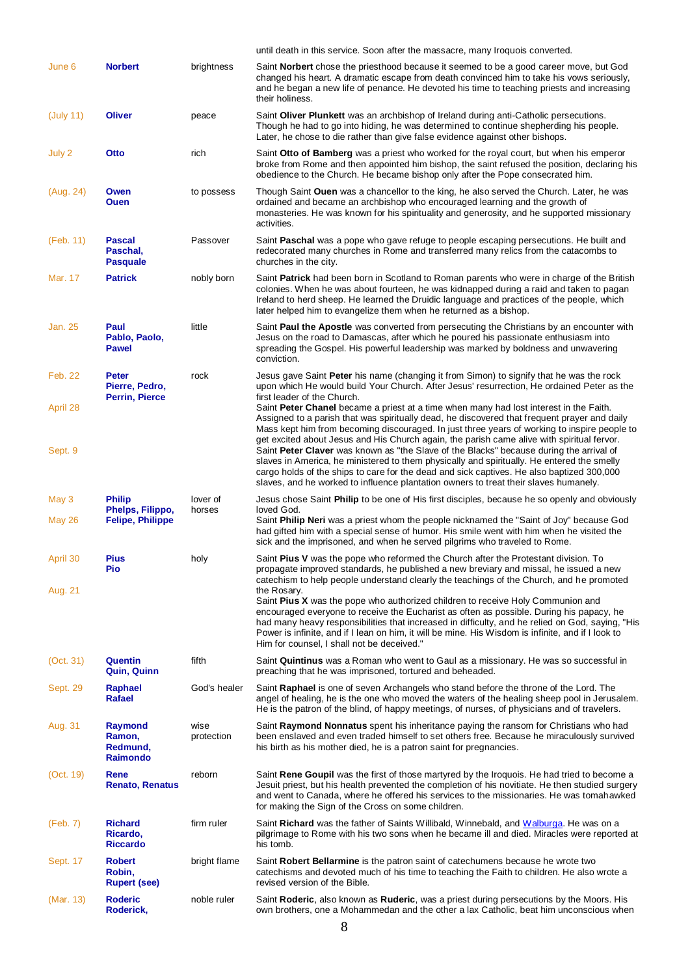until death in this service. Soon after the massacre, many Iroquois converted. June 6 **Norbert** brightness Saint **Norbert** chose the priesthood because it seemed to be a good career move, but God changed his heart. A dramatic escape from death convinced him to take his vows seriously, and he began a new life of penance. He devoted his time to teaching priests and increasing their holiness. (July 11) **Oliver** peace Saint **Oliver Plunkett** was an archbishop of Ireland during anti-Catholic persecutions. Though he had to go into hiding, he was determined to continue shepherding his people. Later, he chose to die rather than give false evidence against other bishops. July 2 **Otto** rich Saint **Otto of Bamberg** was a priest who worked for the royal court, but when his emperor broke from Rome and then appointed him bishop, the saint refused the position, declaring his obedience to the Church. He became bishop only after the Pope consecrated him. (Aug. 24) **Owen Ouen** to possess Though Saint **Ouen** was a chancellor to the king, he also served the Church. Later, he was ordained and became an archbishop who encouraged learning and the growth of monasteries. He was known for his spirituality and generosity, and he supported missionary activities. (Feb. 11) **Pascal Paschal, Pasquale** Passover Saint **Paschal** was a pope who gave refuge to people escaping persecutions. He built and redecorated many churches in Rome and transferred many relics from the catacombs to churches in the city. Mar. 17 **Patrick** nobly born Saint **Patrick** had been born in Scotland to Roman parents who were in charge of the British colonies. When he was about fourteen, he was kidnapped during a raid and taken to pagan Ireland to herd sheep. He learned the Druidic language and practices of the people, which later helped him to evangelize them when he returned as a bishop. Jan. 25 **Paul Pablo, Paolo, Pawel** little Saint **Paul the Apostle** was converted from persecuting the Christians by an encounter with Jesus on the road to Damascas, after which he poured his passionate enthusiasm into spreading the Gospel. His powerful leadership was marked by boldness and unwavering conviction. Feb. 22 April 28 Sept. 9 **Peter Pierre, Pedro, Perrin, Pierce** rock Jesus gave Saint **Peter** his name (changing it from Simon) to signify that he was the rock upon which He would build Your Church. After Jesus' resurrection, He ordained Peter as the first leader of the Church. Saint **Peter Chanel** became a priest at a time when many had lost interest in the Faith. Assigned to a parish that was spiritually dead, he discovered that frequent prayer and daily Mass kept him from becoming discouraged. In just three years of working to inspire people to get excited about Jesus and His Church again, the parish came alive with spiritual fervor. Saint **Peter Claver** was known as "the Slave of the Blacks" because during the arrival of slaves in America, he ministered to them physically and spiritually. He entered the smelly cargo holds of the ships to care for the dead and sick captives. He also baptized 300,000 slaves, and he worked to influence plantation owners to treat their slaves humanely. May 3 May 26 **Philip Phelps, Filippo, Felipe, Philippe** lover of horses Jesus chose Saint **Philip** to be one of His first disciples, because he so openly and obviously loved God. Saint **Philip Neri** was a priest whom the people nicknamed the "Saint of Joy" because God had gifted him with a special sense of humor. His smile went with him when he visited the sick and the imprisoned, and when he served pilgrims who traveled to Rome. April 30 Aug. 21 **Pius Pio** holy Saint **Pius V** was the pope who reformed the Church after the Protestant division. To propagate improved standards, he published a new breviary and missal, he issued a new catechism to help people understand clearly the teachings of the Church, and he promoted the Rosary. Saint **Pius X** was the pope who authorized children to receive Holy Communion and encouraged everyone to receive the Eucharist as often as possible. During his papacy, he had many heavy responsibilities that increased in difficulty, and he relied on God, saying, "His Power is infinite, and if I lean on him, it will be mine. His Wisdom is infinite, and if I look to Him for counsel, I shall not be deceived." (Oct. 31) **Quentin Quin, Quinn** fifth Saint **Quintinus** was a Roman who went to Gaul as a missionary. He was so successful in preaching that he was imprisoned, tortured and beheaded. Sept. 29 **Raphael Rafael** God's healer Saint **Raphael** is one of seven Archangels who stand before the throne of the Lord. The angel of healing, he is the one who moved the waters of the healing sheep pool in Jerusalem. He is the patron of the blind, of happy meetings, of nurses, of physicians and of travelers. Aug. 31 **Raymond Ramon, Redmund, Raimondo** wise protection Saint **Raymond Nonnatus** spent his inheritance paying the ransom for Christians who had been enslaved and even traded himself to set others free. Because he miraculously survived his birth as his mother died, he is a patron saint for pregnancies. (Oct. 19) **Rene Renato, Renatus** reborn Saint **Rene Goupil** was the first of those martyred by the Iroquois. He had tried to become a Jesuit priest, but his health prevented the completion of his novitiate. He then studied surgery and went to Canada, where he offered his services to the missionaries. He was tomahawked for making the Sign of the Cross on some children. (Feb. 7) **Richard Ricardo, Riccardo** firm ruler Saint **Richard** was the father of Saints Willibald, Winnebald, and [Walburga.](http://wordbytes.org/saints/DailyPrayers/Walburga.htm) He was on a pilgrimage to Rome with his two sons when he became ill and died. Miracles were reported at his tomb. Sept. 17 **Robert Robin, Rupert (see)** bright flame Saint **Robert Bellarmine** is the patron saint of catechumens because he wrote two catechisms and devoted much of his time to teaching the Faith to children. He also wrote a revised version of the Bible. (Mar. 13) **Roderic** noble ruler Saint **Roderic**, also known as **Ruderic**, was a priest during persecutions by the Moors. His

**Roderick,**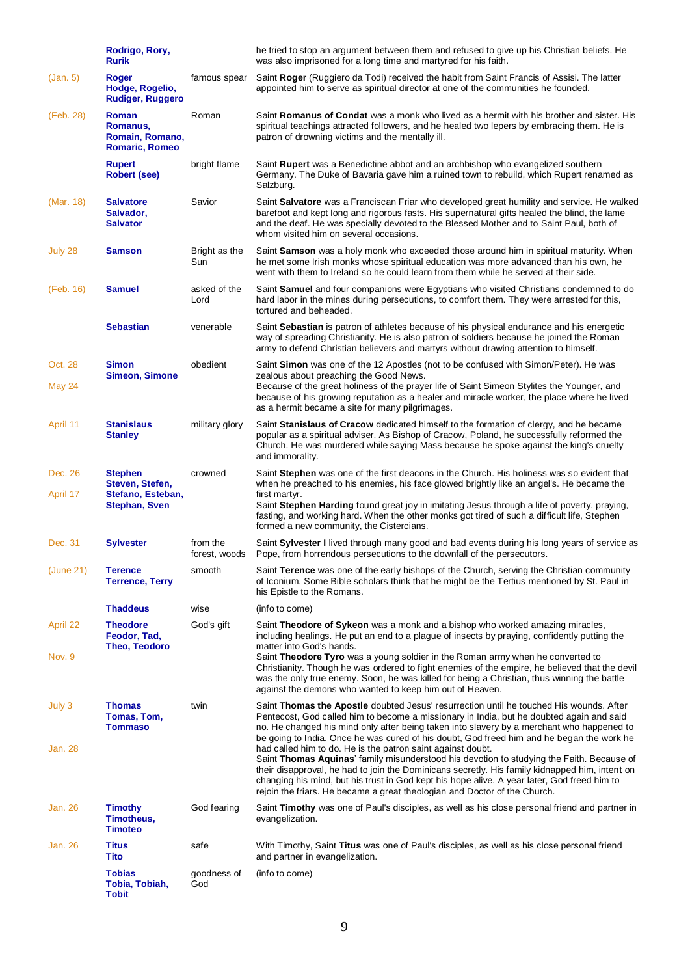|                     | Rodrigo, Rory,<br><b>Rurik</b>                                          |                           | he tried to stop an argument between them and refused to give up his Christian beliefs. He<br>was also imprisoned for a long time and martyred for his faith.                                                                                                                                                                                                                                                                                      |
|---------------------|-------------------------------------------------------------------------|---------------------------|----------------------------------------------------------------------------------------------------------------------------------------------------------------------------------------------------------------------------------------------------------------------------------------------------------------------------------------------------------------------------------------------------------------------------------------------------|
| (Jan. 5)            | Roger<br>Hodge, Rogelio,<br><b>Rudiger, Ruggero</b>                     | famous spear              | Saint Roger (Ruggiero da Todi) received the habit from Saint Francis of Assisi. The latter<br>appointed him to serve as spiritual director at one of the communities he founded.                                                                                                                                                                                                                                                                   |
| (Feb. 28)           | Roman<br>Romanus,<br>Romain, Romano,<br><b>Romaric, Romeo</b>           | Roman                     | Saint Romanus of Condat was a monk who lived as a hermit with his brother and sister. His<br>spiritual teachings attracted followers, and he healed two lepers by embracing them. He is<br>patron of drowning victims and the mentally ill.                                                                                                                                                                                                        |
|                     | <b>Rupert</b><br><b>Robert (see)</b>                                    | bright flame              | Saint <b>Rupert</b> was a Benedictine abbot and an archbishop who evangelized southern<br>Germany. The Duke of Bavaria gave him a ruined town to rebuild, which Rupert renamed as<br>Salzburg.                                                                                                                                                                                                                                                     |
| (Mar. 18)           | <b>Salvatore</b><br>Salvador,<br><b>Salvator</b>                        | Savior                    | Saint Salvatore was a Franciscan Friar who developed great humility and service. He walked<br>barefoot and kept long and rigorous fasts. His supernatural gifts healed the blind, the lame<br>and the deaf. He was specially devoted to the Blessed Mother and to Saint Paul, both of<br>whom visited him on several occasions.                                                                                                                    |
| July 28             | <b>Samson</b>                                                           | Bright as the<br>Sun      | Saint Samson was a holy monk who exceeded those around him in spiritual maturity. When<br>he met some Irish monks whose spiritual education was more advanced than his own, he<br>went with them to Ireland so he could learn from them while he served at their side.                                                                                                                                                                             |
| (Feb. 16)           | <b>Samuel</b>                                                           | asked of the<br>Lord      | Saint Samuel and four companions were Egyptians who visited Christians condemned to do<br>hard labor in the mines during persecutions, to comfort them. They were arrested for this,<br>tortured and beheaded.                                                                                                                                                                                                                                     |
|                     | <b>Sebastian</b>                                                        | venerable                 | Saint Sebastian is patron of athletes because of his physical endurance and his energetic<br>way of spreading Christianity. He is also patron of soldiers because he joined the Roman<br>army to defend Christian believers and martyrs without drawing attention to himself.                                                                                                                                                                      |
| Oct. 28             | <b>Simon</b><br><b>Simeon, Simone</b>                                   | obedient                  | Saint Simon was one of the 12 Apostles (not to be confused with Simon/Peter). He was<br>zealous about preaching the Good News.                                                                                                                                                                                                                                                                                                                     |
| <b>May 24</b>       |                                                                         |                           | Because of the great holiness of the prayer life of Saint Simeon Stylites the Younger, and<br>because of his growing reputation as a healer and miracle worker, the place where he lived<br>as a hermit became a site for many pilgrimages.                                                                                                                                                                                                        |
| April 11            | <b>Stanislaus</b><br><b>Stanley</b>                                     | military glory            | Saint Stanislaus of Cracow dedicated himself to the formation of clergy, and he became<br>popular as a spiritual adviser. As Bishop of Cracow, Poland, he successfully reformed the<br>Church. He was murdered while saying Mass because he spoke against the king's cruelty<br>and immorality.                                                                                                                                                    |
| Dec. 26<br>April 17 | <b>Stephen</b><br>Steven, Stefen,<br>Stefano, Esteban,<br>Stephan, Sven | crowned                   | Saint Stephen was one of the first deacons in the Church. His holiness was so evident that<br>when he preached to his enemies, his face glowed brightly like an angel's. He became the<br>first martyr.<br>Saint Stephen Harding found great joy in imitating Jesus through a life of poverty, praying,<br>fasting, and working hard. When the other monks got tired of such a difficult life, Stephen<br>formed a new community, the Cistercians. |
| Dec. 31             | <b>Sylvester</b>                                                        | from the<br>forest, woods | Saint Sylvester I lived through many good and bad events during his long years of service as<br>Pope, from horrendous persecutions to the downfall of the persecutors.                                                                                                                                                                                                                                                                             |
| (June 21)           | <b>Terence</b><br><b>Terrence, Terry</b>                                | smooth                    | Saint Terence was one of the early bishops of the Church, serving the Christian community<br>of Iconium. Some Bible scholars think that he might be the Tertius mentioned by St. Paul in<br>his Epistle to the Romans.                                                                                                                                                                                                                             |
|                     | <b>Thaddeus</b>                                                         | wise                      | (info to come)                                                                                                                                                                                                                                                                                                                                                                                                                                     |
| April 22            | <b>Theodore</b><br>Feodor, Tad,<br><b>Theo, Teodoro</b>                 | God's gift                | Saint Theodore of Sykeon was a monk and a bishop who worked amazing miracles,<br>including healings. He put an end to a plague of insects by praying, confidently putting the<br>matter into God's hands.                                                                                                                                                                                                                                          |
| Nov. 9              |                                                                         |                           | Saint Theodore Tyro was a young soldier in the Roman army when he converted to<br>Christianity. Though he was ordered to fight enemies of the empire, he believed that the devil<br>was the only true enemy. Soon, he was killed for being a Christian, thus winning the battle<br>against the demons who wanted to keep him out of Heaven.                                                                                                        |
| July 3              | <b>Thomas</b><br>Tomas, Tom,<br><b>Tommaso</b>                          | twin                      | Saint Thomas the Apostle doubted Jesus' resurrection until he touched His wounds. After<br>Pentecost, God called him to become a missionary in India, but he doubted again and said<br>no. He changed his mind only after being taken into slavery by a merchant who happened to<br>be going to India. Once he was cured of his doubt, God freed him and he began the work he                                                                      |
| <b>Jan. 28</b>      |                                                                         |                           | had called him to do. He is the patron saint against doubt.<br>Saint Thomas Aquinas' family misunderstood his devotion to studying the Faith. Because of<br>their disapproval, he had to join the Dominicans secretly. His family kidnapped him, intent on<br>changing his mind, but his trust in God kept his hope alive. A year later, God freed him to<br>rejoin the friars. He became a great theologian and Doctor of the Church.             |
| Jan. 26             | <b>Timothy</b><br>Timotheus,<br><b>Timoteo</b>                          | God fearing               | Saint Timothy was one of Paul's disciples, as well as his close personal friend and partner in<br>evangelization.                                                                                                                                                                                                                                                                                                                                  |
| Jan. 26             | <b>Titus</b><br>Tito                                                    | safe                      | With Timothy, Saint Titus was one of Paul's disciples, as well as his close personal friend<br>and partner in evangelization.                                                                                                                                                                                                                                                                                                                      |
|                     | <b>Tobias</b><br>Tobia, Tobiah,<br><b>Tobit</b>                         | goodness of<br>God        | (info to come)                                                                                                                                                                                                                                                                                                                                                                                                                                     |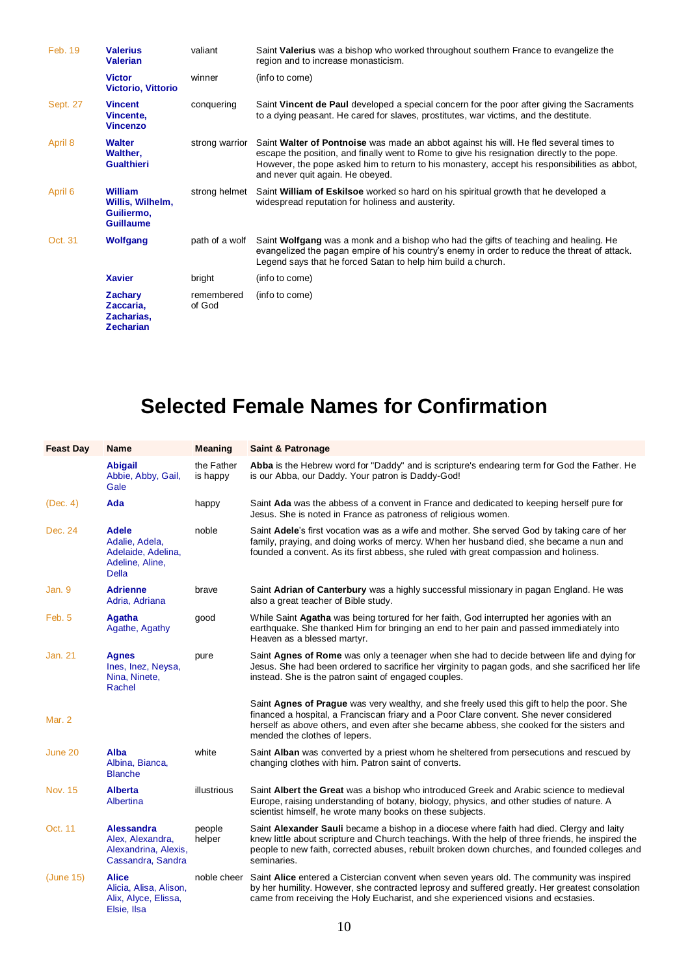| Feb. 19  | <b>Valerius</b><br><b>Valerian</b>                                   | valiant              | Saint Valerius was a bishop who worked throughout southern France to evangelize the<br>region and to increase monasticism.                                                                                                                                                                                                 |
|----------|----------------------------------------------------------------------|----------------------|----------------------------------------------------------------------------------------------------------------------------------------------------------------------------------------------------------------------------------------------------------------------------------------------------------------------------|
|          | <b>Victor</b><br><b>Victorio, Vittorio</b>                           | winner               | (info to come)                                                                                                                                                                                                                                                                                                             |
| Sept. 27 | <b>Vincent</b><br>Vincente,<br><b>Vincenzo</b>                       | conquering           | Saint Vincent de Paul developed a special concern for the poor after giving the Sacraments<br>to a dying peasant. He cared for slaves, prostitutes, war victims, and the destitute.                                                                                                                                        |
| April 8  | <b>Walter</b><br>Walther,<br><b>Gualthieri</b>                       | strong warrior       | Saint Walter of Pontnoise was made an abbot against his will. He fled several times to<br>escape the position, and finally went to Rome to give his resignation directly to the pope.<br>However, the pope asked him to return to his monastery, accept his responsibilities as abbot,<br>and never quit again. He obeyed. |
| April 6  | <b>William</b><br>Willis, Wilhelm,<br>Guiliermo,<br><b>Guillaume</b> | strong helmet        | Saint William of Eskilsoe worked so hard on his spiritual growth that he developed a<br>widespread reputation for holiness and austerity.                                                                                                                                                                                  |
| Oct. 31  | Wolfgang                                                             | path of a wolf       | Saint Wolfgang was a monk and a bishop who had the gifts of teaching and healing. He<br>evangelized the pagan empire of his country's enemy in order to reduce the threat of attack.<br>Legend says that he forced Satan to help him build a church.                                                                       |
|          | <b>Xavier</b>                                                        | bright               | (info to come)                                                                                                                                                                                                                                                                                                             |
|          | <b>Zachary</b><br>Zaccaria,<br>Zacharias,<br><b>Zecharian</b>        | remembered<br>of God | (info to come)                                                                                                                                                                                                                                                                                                             |

## **Selected Female Names for Confirmation**

| <b>Feast Day</b> | <b>Name</b>                                                                        | <b>Meaning</b>         | <b>Saint &amp; Patronage</b>                                                                                                                                                                                                                                                                                         |
|------------------|------------------------------------------------------------------------------------|------------------------|----------------------------------------------------------------------------------------------------------------------------------------------------------------------------------------------------------------------------------------------------------------------------------------------------------------------|
|                  | <b>Abigail</b><br>Abbie, Abby, Gail,<br>Gale                                       | the Father<br>is happy | Abba is the Hebrew word for "Daddy" and is scripture's endearing term for God the Father. He<br>is our Abba, our Daddy. Your patron is Daddy-God!                                                                                                                                                                    |
| (Dec. 4)         | Ada                                                                                | happy                  | Saint Ada was the abbess of a convent in France and dedicated to keeping herself pure for<br>Jesus. She is noted in France as patroness of religious women.                                                                                                                                                          |
| Dec. 24          | <b>Adele</b><br>Adalie, Adela,<br>Adelaide, Adelina,<br>Adeline, Aline,<br>Della   | noble                  | Saint Adele's first vocation was as a wife and mother. She served God by taking care of her<br>family, praying, and doing works of mercy. When her husband died, she became a nun and<br>founded a convent. As its first abbess, she ruled with great compassion and holiness.                                       |
| Jan. 9           | <b>Adrienne</b><br>Adria, Adriana                                                  | brave                  | Saint Adrian of Canterbury was a highly successful missionary in pagan England. He was<br>also a great teacher of Bible study.                                                                                                                                                                                       |
| Feb. 5           | Agatha<br>Agathe, Agathy                                                           | good                   | While Saint Agatha was being tortured for her faith, God interrupted her agonies with an<br>earthquake. She thanked Him for bringing an end to her pain and passed immediately into<br>Heaven as a blessed martyr.                                                                                                   |
| <b>Jan. 21</b>   | <b>Agnes</b><br>Ines, Inez, Neysa,<br>Nina, Ninete,<br>Rachel                      | pure                   | Saint Agnes of Rome was only a teenager when she had to decide between life and dying for<br>Jesus. She had been ordered to sacrifice her virginity to pagan gods, and she sacrificed her life<br>instead. She is the patron saint of engaged couples.                                                               |
| Mar. 2           |                                                                                    |                        | Saint Agnes of Prague was very wealthy, and she freely used this gift to help the poor. She<br>financed a hospital, a Franciscan friary and a Poor Clare convent. She never considered<br>herself as above others, and even after she became abbess, she cooked for the sisters and<br>mended the clothes of lepers. |
| June 20          | Alba<br>Albina, Bianca,<br><b>Blanche</b>                                          | white                  | Saint Alban was converted by a priest whom he sheltered from persecutions and rescued by<br>changing clothes with him. Patron saint of converts.                                                                                                                                                                     |
| <b>Nov. 15</b>   | <b>Alberta</b><br>Albertina                                                        | illustrious            | Saint Albert the Great was a bishop who introduced Greek and Arabic science to medieval<br>Europe, raising understanding of botany, biology, physics, and other studies of nature. A<br>scientist himself, he wrote many books on these subjects.                                                                    |
| Oct. 11          | <b>Alessandra</b><br>Alex, Alexandra,<br>Alexandrina, Alexis,<br>Cassandra, Sandra | people<br>helper       | Saint Alexander Sauli became a bishop in a diocese where faith had died. Clergy and laity<br>knew little about scripture and Church teachings. With the help of three friends, he inspired the<br>people to new faith, corrected abuses, rebuilt broken down churches, and founded colleges and<br>seminaries.       |
| (June 15)        | <b>Alice</b><br>Alicia, Alisa, Alison,<br>Alix, Alyce, Elissa,<br>Elsie, Ilsa      |                        | noble cheer Saint Alice entered a Cistercian convent when seven years old. The community was inspired<br>by her humility. However, she contracted leprosy and suffered greatly. Her greatest consolation<br>came from receiving the Holy Eucharist, and she experienced visions and ecstasies.                       |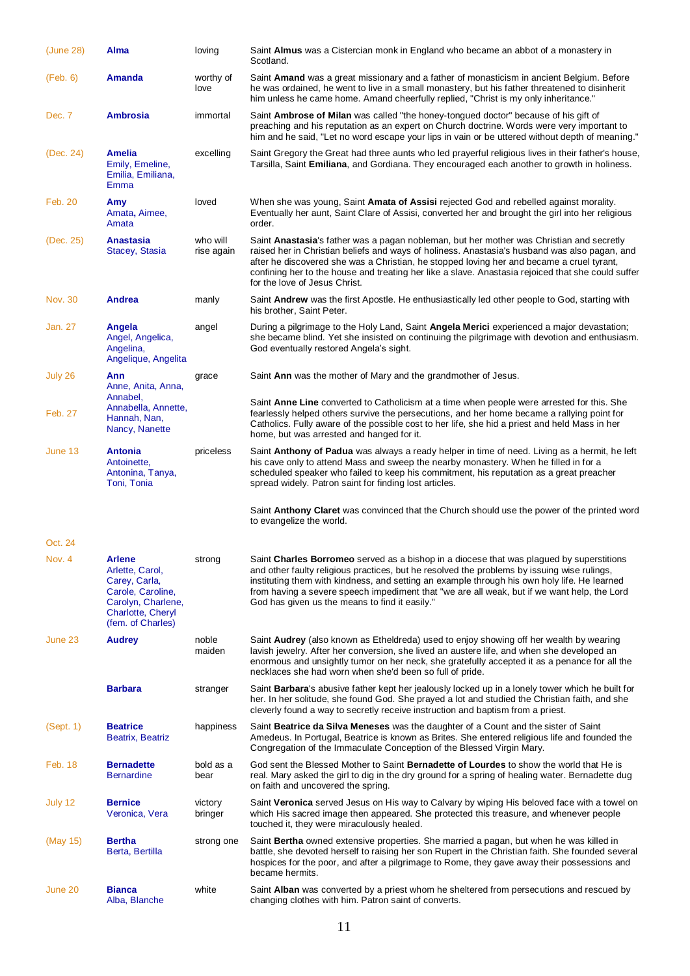| (June 28)      | Alma                                                                                                                                   | loving                 | Saint Almus was a Cistercian monk in England who became an abbot of a monastery in<br>Scotland.                                                                                                                                                                                                                                                                                                                                          |
|----------------|----------------------------------------------------------------------------------------------------------------------------------------|------------------------|------------------------------------------------------------------------------------------------------------------------------------------------------------------------------------------------------------------------------------------------------------------------------------------------------------------------------------------------------------------------------------------------------------------------------------------|
| (Feb. 6)       | Amanda                                                                                                                                 | worthy of<br>love      | Saint Amand was a great missionary and a father of monasticism in ancient Belgium. Before<br>he was ordained, he went to live in a small monastery, but his father threatened to disinherit<br>him unless he came home. Amand cheerfully replied, "Christ is my only inheritance."                                                                                                                                                       |
| Dec. 7         | <b>Ambrosia</b>                                                                                                                        | immortal               | Saint Ambrose of Milan was called "the honey-tongued doctor" because of his gift of<br>preaching and his reputation as an expert on Church doctrine. Words were very important to<br>him and he said, "Let no word escape your lips in vain or be uttered without depth of meaning."                                                                                                                                                     |
| (Dec. 24)      | Amelia<br>Emily, Emeline,<br>Emilia, Emiliana,<br>Emma                                                                                 | excelling              | Saint Gregory the Great had three aunts who led prayerful religious lives in their father's house,<br>Tarsilla, Saint Emiliana, and Gordiana. They encouraged each another to growth in holiness.                                                                                                                                                                                                                                        |
| <b>Feb. 20</b> | Amy<br>Amata, Aimee,<br>Amata                                                                                                          | loved                  | When she was young, Saint Amata of Assisi rejected God and rebelled against morality.<br>Eventually her aunt, Saint Clare of Assisi, converted her and brought the girl into her religious<br>order.                                                                                                                                                                                                                                     |
| (Dec. 25)      | <b>Anastasia</b><br>Stacey, Stasia                                                                                                     | who will<br>rise again | Saint Anastasia's father was a pagan nobleman, but her mother was Christian and secretly<br>raised her in Christian beliefs and ways of holiness. Anastasia's husband was also pagan, and<br>after he discovered she was a Christian, he stopped loving her and became a cruel tyrant,<br>confining her to the house and treating her like a slave. Anastasia rejoiced that she could suffer<br>for the love of Jesus Christ.            |
| <b>Nov. 30</b> | <b>Andrea</b>                                                                                                                          | manly                  | Saint Andrew was the first Apostle. He enthusiastically led other people to God, starting with<br>his brother, Saint Peter.                                                                                                                                                                                                                                                                                                              |
| Jan. 27        | Angela<br>Angel, Angelica,<br>Angelina,<br>Angelique, Angelita                                                                         | angel                  | During a pilgrimage to the Holy Land, Saint Angela Merici experienced a major devastation;<br>she became blind. Yet she insisted on continuing the pilgrimage with devotion and enthusiasm.<br>God eventually restored Angela's sight.                                                                                                                                                                                                   |
| July 26        | Ann<br>Anne, Anita, Anna,                                                                                                              | grace                  | Saint Ann was the mother of Mary and the grandmother of Jesus.                                                                                                                                                                                                                                                                                                                                                                           |
| Feb. 27        | Annabel,<br>Annabella, Annette,<br>Hannah, Nan,<br>Nancy, Nanette                                                                      |                        | Saint Anne Line converted to Catholicism at a time when people were arrested for this. She<br>fearlessly helped others survive the persecutions, and her home became a rallying point for<br>Catholics. Fully aware of the possible cost to her life, she hid a priest and held Mass in her<br>home, but was arrested and hanged for it.                                                                                                 |
| June 13        | <b>Antonia</b><br>Antoinette,<br>Antonina, Tanya,<br>Toni, Tonia                                                                       | priceless              | Saint Anthony of Padua was always a ready helper in time of need. Living as a hermit, he left<br>his cave only to attend Mass and sweep the nearby monastery. When he filled in for a<br>scheduled speaker who failed to keep his commitment, his reputation as a great preacher<br>spread widely. Patron saint for finding lost articles.                                                                                               |
|                |                                                                                                                                        |                        | Saint Anthony Claret was convinced that the Church should use the power of the printed word<br>to evangelize the world.                                                                                                                                                                                                                                                                                                                  |
| Oct. 24        |                                                                                                                                        |                        |                                                                                                                                                                                                                                                                                                                                                                                                                                          |
| Nov. 4         | <b>Arlene</b><br>Arlette, Carol,<br>Carey, Carla,<br>Carole, Caroline,<br>Carolyn, Charlene,<br>Charlotte, Cheryl<br>(fem. of Charles) | strong                 | Saint Charles Borromeo served as a bishop in a diocese that was plagued by superstitions<br>and other faulty religious practices, but he resolved the problems by issuing wise rulings,<br>instituting them with kindness, and setting an example through his own holy life. He learned<br>from having a severe speech impediment that "we are all weak, but if we want help, the Lord<br>God has given us the means to find it easily." |
| June 23        | <b>Audrey</b>                                                                                                                          | noble<br>maiden        | Saint Audrey (also known as Etheldreda) used to enjoy showing off her wealth by wearing<br>lavish jewelry. After her conversion, she lived an austere life, and when she developed an<br>enormous and unsightly tumor on her neck, she gratefully accepted it as a penance for all the<br>necklaces she had worn when she'd been so full of pride.                                                                                       |
|                | <b>Barbara</b>                                                                                                                         | stranger               | Saint Barbara's abusive father kept her jealously locked up in a lonely tower which he built for<br>her. In her solitude, she found God. She prayed a lot and studied the Christian faith, and she<br>cleverly found a way to secretly receive instruction and baptism from a priest.                                                                                                                                                    |
| (Sept. 1)      | <b>Beatrice</b><br><b>Beatrix, Beatriz</b>                                                                                             | happiness              | Saint Beatrice da Silva Meneses was the daughter of a Count and the sister of Saint<br>Amedeus. In Portugal, Beatrice is known as Brites. She entered religious life and founded the<br>Congregation of the Immaculate Conception of the Blessed Virgin Mary.                                                                                                                                                                            |
| Feb. 18        | <b>Bernadette</b><br><b>Bernardine</b>                                                                                                 | bold as a<br>bear      | God sent the Blessed Mother to Saint Bernadette of Lourdes to show the world that He is<br>real. Mary asked the girl to dig in the dry ground for a spring of healing water. Bernadette dug<br>on faith and uncovered the spring.                                                                                                                                                                                                        |
| July 12        | <b>Bernice</b><br>Veronica, Vera                                                                                                       | victory<br>bringer     | Saint Veronica served Jesus on His way to Calvary by wiping His beloved face with a towel on<br>which His sacred image then appeared. She protected this treasure, and whenever people<br>touched it, they were miraculously healed.                                                                                                                                                                                                     |
| (May 15)       | <b>Bertha</b><br>Berta, Bertilla                                                                                                       | strong one             | Saint Bertha owned extensive properties. She married a pagan, but when he was killed in<br>battle, she devoted herself to raising her son Rupert in the Christian faith. She founded several<br>hospices for the poor, and after a pilgrimage to Rome, they gave away their possessions and<br>became hermits.                                                                                                                           |
| June 20        | <b>Bianca</b><br>Alba, Blanche                                                                                                         | white                  | Saint Alban was converted by a priest whom he sheltered from persecutions and rescued by<br>changing clothes with him. Patron saint of converts.                                                                                                                                                                                                                                                                                         |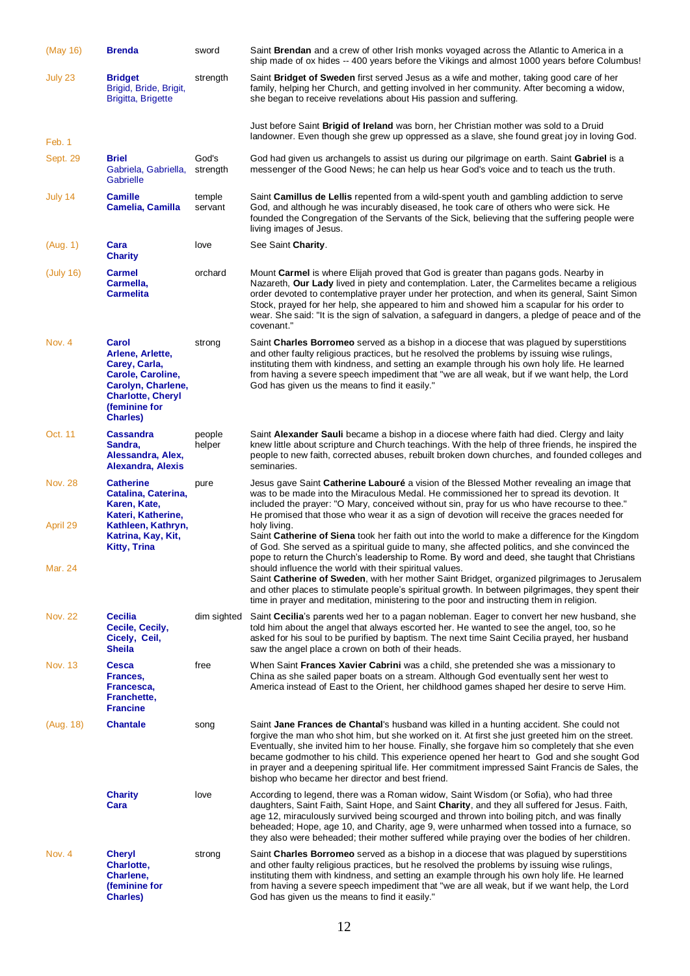| (May 16)                   | <b>Brenda</b>                                                                                                                                          | sword             | Saint <b>Brendan</b> and a crew of other Irish monks voyaged across the Atlantic to America in a<br>ship made of ox hides -- 400 years before the Vikings and almost 1000 years before Columbus!                                                                                                                                                                                                                                                                                                                                                                                                                                                                                                         |
|----------------------------|--------------------------------------------------------------------------------------------------------------------------------------------------------|-------------------|----------------------------------------------------------------------------------------------------------------------------------------------------------------------------------------------------------------------------------------------------------------------------------------------------------------------------------------------------------------------------------------------------------------------------------------------------------------------------------------------------------------------------------------------------------------------------------------------------------------------------------------------------------------------------------------------------------|
| July 23                    | <b>Bridget</b><br>Brigid, Bride, Brigit,<br>Brigitta, Brigette                                                                                         | strength          | Saint <b>Bridget of Sweden</b> first served Jesus as a wife and mother, taking good care of her<br>family, helping her Church, and getting involved in her community. After becoming a widow,<br>she began to receive revelations about His passion and suffering.                                                                                                                                                                                                                                                                                                                                                                                                                                       |
| Feb. 1                     |                                                                                                                                                        |                   | Just before Saint Brigid of Ireland was born, her Christian mother was sold to a Druid<br>landowner. Even though she grew up oppressed as a slave, she found great joy in loving God.                                                                                                                                                                                                                                                                                                                                                                                                                                                                                                                    |
| Sept. 29                   | <b>Briel</b><br>Gabriela, Gabriella,<br>Gabrielle                                                                                                      | God's<br>strength | God had given us archangels to assist us during our pilgrimage on earth. Saint Gabriel is a<br>messenger of the Good News; he can help us hear God's voice and to teach us the truth.                                                                                                                                                                                                                                                                                                                                                                                                                                                                                                                    |
| July 14                    | <b>Camille</b><br>Camelia, Camilla                                                                                                                     | temple<br>servant | Saint Camillus de Lellis repented from a wild-spent youth and gambling addiction to serve<br>God, and although he was incurably diseased, he took care of others who were sick. He<br>founded the Congregation of the Servants of the Sick, believing that the suffering people were<br>living images of Jesus.                                                                                                                                                                                                                                                                                                                                                                                          |
| (Aug. 1)                   | Cara<br><b>Charity</b>                                                                                                                                 | love              | See Saint Charity.                                                                                                                                                                                                                                                                                                                                                                                                                                                                                                                                                                                                                                                                                       |
| (July 16)                  | <b>Carmel</b><br>Carmella,<br><b>Carmelita</b>                                                                                                         | orchard           | Mount Carmel is where Elijah proved that God is greater than pagans gods. Nearby in<br>Nazareth, Our Lady lived in piety and contemplation. Later, the Carmelites became a religious<br>order devoted to contemplative prayer under her protection, and when its general, Saint Simon<br>Stock, prayed for her help, she appeared to him and showed him a scapular for his order to<br>wear. She said: "It is the sign of salvation, a safeguard in dangers, a pledge of peace and of the<br>covenant."                                                                                                                                                                                                  |
| Nov. 4                     | Carol<br>Arlene, Arlette,<br>Carey, Carla,<br>Carole, Caroline,<br>Carolyn, Charlene,<br><b>Charlotte, Cheryl</b><br>(feminine for<br><b>Charles</b> ) | strong            | Saint Charles Borromeo served as a bishop in a diocese that was plagued by superstitions<br>and other faulty religious practices, but he resolved the problems by issuing wise rulings,<br>instituting them with kindness, and setting an example through his own holy life. He learned<br>from having a severe speech impediment that "we are all weak, but if we want help, the Lord<br>God has given us the means to find it easily."                                                                                                                                                                                                                                                                 |
| Oct. 11                    | <b>Cassandra</b><br>Sandra,<br>Alessandra, Alex,<br>Alexandra, Alexis                                                                                  | people<br>helper  | Saint Alexander Sauli became a bishop in a diocese where faith had died. Clergy and laity<br>knew little about scripture and Church teachings. With the help of three friends, he inspired the<br>people to new faith, corrected abuses, rebuilt broken down churches, and founded colleges and<br>seminaries.                                                                                                                                                                                                                                                                                                                                                                                           |
| <b>Nov. 28</b><br>April 29 | <b>Catherine</b><br>Catalina, Caterina,<br>Karen, Kate,<br>Kateri, Katherine,<br>Kathleen, Kathryn,<br>Katrina, Kay, Kit,<br><b>Kitty, Trina</b>       | pure              | Jesus gave Saint Catherine Labouré a vision of the Blessed Mother revealing an image that<br>was to be made into the Miraculous Medal. He commissioned her to spread its devotion. It<br>included the prayer: "O Mary, conceived without sin, pray for us who have recourse to thee."<br>He promised that those who wear it as a sign of devotion will receive the graces needed for<br>holy living.<br>Saint Catherine of Siena took her faith out into the world to make a difference for the Kingdom<br>of God. She served as a spiritual guide to many, she affected politics, and she convinced the<br>pope to return the Church's leadership to Rome. By word and deed, she taught that Christians |
| Mar. 24                    |                                                                                                                                                        |                   | should influence the world with their spiritual values.<br>Saint Catherine of Sweden, with her mother Saint Bridget, organized pilgrimages to Jerusalem<br>and other places to stimulate people's spiritual growth. In between pilgrimages, they spent their<br>time in prayer and meditation, ministering to the poor and instructing them in religion.                                                                                                                                                                                                                                                                                                                                                 |
| <b>Nov. 22</b>             | <b>Cecilia</b><br>Cecile, Cecily,<br>Cicely, Ceil,<br><b>Sheila</b>                                                                                    | dim sighted       | Saint Cecilia's parents wed her to a pagan nobleman. Eager to convert her new husband, she<br>told him about the angel that always escorted her. He wanted to see the angel, too, so he<br>asked for his soul to be purified by baptism. The next time Saint Cecilia prayed, her husband<br>saw the angel place a crown on both of their heads.                                                                                                                                                                                                                                                                                                                                                          |
| Nov. 13                    | <b>Cesca</b><br>Frances,<br>Francesca,<br>Franchette,<br><b>Francine</b>                                                                               | free              | When Saint <b>Frances Xavier Cabrini</b> was a child, she pretended she was a missionary to<br>China as she sailed paper boats on a stream. Although God eventually sent her west to<br>America instead of East to the Orient, her childhood games shaped her desire to serve Him.                                                                                                                                                                                                                                                                                                                                                                                                                       |
| (Aug. 18)                  | <b>Chantale</b>                                                                                                                                        | song              | Saint Jane Frances de Chantal's husband was killed in a hunting accident. She could not<br>forgive the man who shot him, but she worked on it. At first she just greeted him on the street.<br>Eventually, she invited him to her house. Finally, she forgave him so completely that she even<br>became godmother to his child. This experience opened her heart to God and she sought God<br>in prayer and a deepening spiritual life. Her commitment impressed Saint Francis de Sales, the<br>bishop who became her director and best friend.                                                                                                                                                          |
|                            | <b>Charity</b><br>Cara                                                                                                                                 | love              | According to legend, there was a Roman widow, Saint Wisdom (or Sofia), who had three<br>daughters, Saint Faith, Saint Hope, and Saint Charity, and they all suffered for Jesus. Faith,<br>age 12, miraculously survived being scourged and thrown into boiling pitch, and was finally<br>beheaded; Hope, age 10, and Charity, age 9, were unharmed when tossed into a furnace, so<br>they also were beheaded; their mother suffered while praying over the bodies of her children.                                                                                                                                                                                                                       |
| Nov. 4                     | <b>Cheryl</b><br>Charlotte,<br>Charlene,<br>(feminine for<br><b>Charles</b> )                                                                          | strong            | Saint Charles Borromeo served as a bishop in a diocese that was plagued by superstitions<br>and other faulty religious practices, but he resolved the problems by issuing wise rulings,<br>instituting them with kindness, and setting an example through his own holy life. He learned<br>from having a severe speech impediment that "we are all weak, but if we want help, the Lord<br>God has given us the means to find it easily."                                                                                                                                                                                                                                                                 |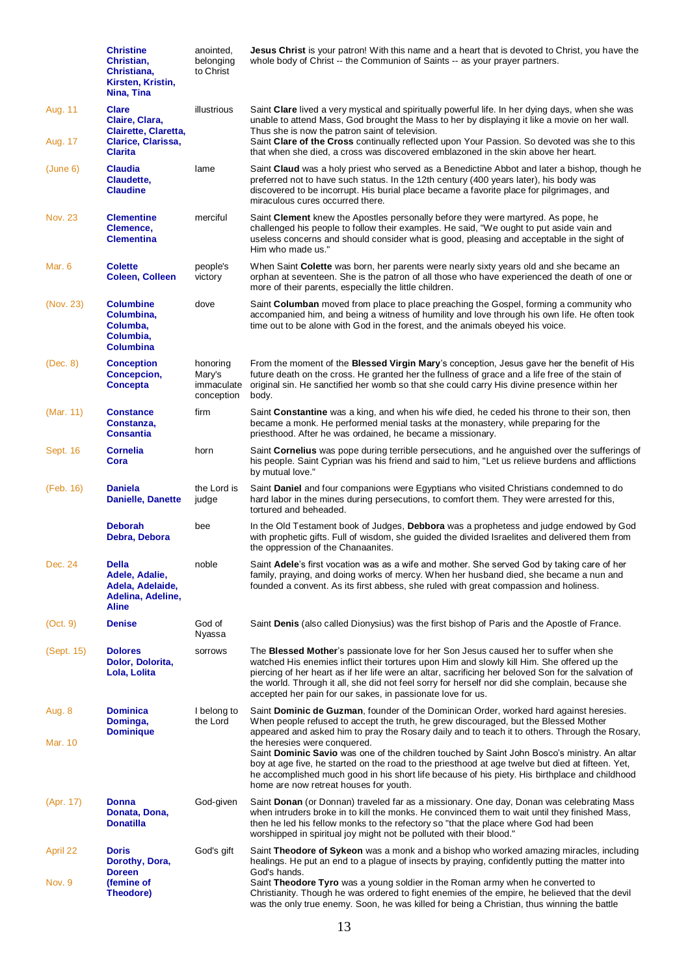|                    | <b>Christine</b><br>Christian,<br>Christiana,<br>Kirsten, Kristin,<br>Nina, Tina | anointed,<br>belonging<br>to Christ            | <b>Jesus Christ</b> is your patron! With this name and a heart that is devoted to Christ, you have the<br>whole body of Christ -- the Communion of Saints -- as your prayer partners.                                                                                                                                                                                                                                                                                                                                                                                                                                                                             |
|--------------------|----------------------------------------------------------------------------------|------------------------------------------------|-------------------------------------------------------------------------------------------------------------------------------------------------------------------------------------------------------------------------------------------------------------------------------------------------------------------------------------------------------------------------------------------------------------------------------------------------------------------------------------------------------------------------------------------------------------------------------------------------------------------------------------------------------------------|
| Aug. 11<br>Aug. 17 | <b>Clare</b><br>Claire, Clara,<br>Clairette, Claretta,<br>Clarice, Clarissa,     | illustrious                                    | Saint Clare lived a very mystical and spiritually powerful life. In her dying days, when she was<br>unable to attend Mass, God brought the Mass to her by displaying it like a movie on her wall.<br>Thus she is now the patron saint of television.<br>Saint Clare of the Cross continually reflected upon Your Passion. So devoted was she to this                                                                                                                                                                                                                                                                                                              |
| (June 6)           | <b>Clarita</b><br><b>Claudia</b><br>Claudette,<br><b>Claudine</b>                | lame                                           | that when she died, a cross was discovered emblazoned in the skin above her heart.<br>Saint Claud was a holy priest who served as a Benedictine Abbot and later a bishop, though he<br>preferred not to have such status. In the 12th century (400 years later), his body was<br>discovered to be incorrupt. His burial place became a favorite place for pilgrimages, and                                                                                                                                                                                                                                                                                        |
| <b>Nov. 23</b>     | <b>Clementine</b><br>Clemence,<br><b>Clementina</b>                              | merciful                                       | miraculous cures occurred there.<br>Saint Clement knew the Apostles personally before they were martyred. As pope, he<br>challenged his people to follow their examples. He said, "We ought to put aside vain and<br>useless concerns and should consider what is good, pleasing and acceptable in the sight of<br>Him who made us."                                                                                                                                                                                                                                                                                                                              |
| Mar. 6             | <b>Colette</b><br><b>Coleen, Colleen</b>                                         | people's<br>victory                            | When Saint Colette was born, her parents were nearly sixty years old and she became an<br>orphan at seventeen. She is the patron of all those who have experienced the death of one or<br>more of their parents, especially the little children.                                                                                                                                                                                                                                                                                                                                                                                                                  |
| (Nov. 23)          | <b>Columbine</b><br>Columbina,<br>Columba,<br>Columbia,<br><b>Columbina</b>      | dove                                           | Saint Columban moved from place to place preaching the Gospel, forming a community who<br>accompanied him, and being a witness of humility and love through his own life. He often took<br>time out to be alone with God in the forest, and the animals obeyed his voice.                                                                                                                                                                                                                                                                                                                                                                                         |
| (Dec. 8)           | <b>Conception</b><br>Concepcion,<br><b>Concepta</b>                              | honoring<br>Mary's<br>immaculate<br>conception | From the moment of the <b>Blessed Virgin Mary's</b> conception, Jesus gave her the benefit of His<br>future death on the cross. He granted her the fullness of grace and a life free of the stain of<br>original sin. He sanctified her womb so that she could carry His divine presence within her<br>body.                                                                                                                                                                                                                                                                                                                                                      |
| (Mar. 11)          | <b>Constance</b><br>Constanza,<br><b>Consantia</b>                               | firm                                           | Saint Constantine was a king, and when his wife died, he ceded his throne to their son, then<br>became a monk. He performed menial tasks at the monastery, while preparing for the<br>priesthood. After he was ordained, he became a missionary.                                                                                                                                                                                                                                                                                                                                                                                                                  |
| Sept. 16           | <b>Cornelia</b><br>Cora                                                          | horn                                           | Saint Cornelius was pope during terrible persecutions, and he anguished over the sufferings of<br>his people. Saint Cyprian was his friend and said to him, "Let us relieve burdens and afflictions<br>by mutual love."                                                                                                                                                                                                                                                                                                                                                                                                                                           |
| (Feb. 16)          | <b>Daniela</b><br><b>Danielle, Danette</b>                                       | the Lord is<br>judge                           | Saint Daniel and four companions were Egyptians who visited Christians condemned to do<br>hard labor in the mines during persecutions, to comfort them. They were arrested for this,<br>tortured and beheaded.                                                                                                                                                                                                                                                                                                                                                                                                                                                    |
|                    | <b>Deborah</b><br>Debra, Debora                                                  | bee                                            | In the Old Testament book of Judges, Debbora was a prophetess and judge endowed by God<br>with prophetic gifts. Full of wisdom, she guided the divided Israelites and delivered them from<br>the oppression of the Chanaanites.                                                                                                                                                                                                                                                                                                                                                                                                                                   |
| Dec. 24            | <b>Della</b><br>Adele, Adalie,<br>Adela, Adelaide,<br>Adelina, Adeline,<br>Aline | noble                                          | Saint Adele's first vocation was as a wife and mother. She served God by taking care of her<br>family, praying, and doing works of mercy. When her husband died, she became a nun and<br>founded a convent. As its first abbess, she ruled with great compassion and holiness.                                                                                                                                                                                                                                                                                                                                                                                    |
| (Oct. 9)           | <b>Denise</b>                                                                    | God of<br>Nyassa                               | Saint Denis (also called Dionysius) was the first bishop of Paris and the Apostle of France.                                                                                                                                                                                                                                                                                                                                                                                                                                                                                                                                                                      |
| (Sept. 15)         | <b>Dolores</b><br>Dolor, Dolorita,<br>Lola, Lolita                               | sorrows                                        | The Blessed Mother's passionate love for her Son Jesus caused her to suffer when she<br>watched His enemies inflict their tortures upon Him and slowly kill Him. She offered up the<br>piercing of her heart as if her life were an altar, sacrificing her beloved Son for the salvation of<br>the world. Through it all, she did not feel sorry for herself nor did she complain, because she<br>accepted her pain for our sakes, in passionate love for us.                                                                                                                                                                                                     |
| Aug. 8<br>Mar. 10  | <b>Dominica</b><br>Dominga,<br><b>Dominique</b>                                  | I belong to<br>the Lord                        | Saint Dominic de Guzman, founder of the Dominican Order, worked hard against heresies.<br>When people refused to accept the truth, he grew discouraged, but the Blessed Mother<br>appeared and asked him to pray the Rosary daily and to teach it to others. Through the Rosary,<br>the heresies were conquered.<br>Saint Dominic Savio was one of the children touched by Saint John Bosco's ministry. An altar<br>boy at age five, he started on the road to the priesthood at age twelve but died at fifteen. Yet,<br>he accomplished much good in his short life because of his piety. His birthplace and childhood<br>home are now retreat houses for youth. |
| (Apr. 17)          | <b>Donna</b><br>Donata, Dona,<br><b>Donatilla</b>                                | God-given                                      | Saint Donan (or Donnan) traveled far as a missionary. One day, Donan was celebrating Mass<br>when intruders broke in to kill the monks. He convinced them to wait until they finished Mass,<br>then he led his fellow monks to the refectory so "that the place where God had been<br>worshipped in spiritual joy might not be polluted with their blood."                                                                                                                                                                                                                                                                                                        |
| April 22<br>Nov. 9 | <b>Doris</b><br>Dorothy, Dora,<br><b>Doreen</b><br>(femine of                    | God's gift                                     | Saint Theodore of Sykeon was a monk and a bishop who worked amazing miracles, including<br>healings. He put an end to a plague of insects by praying, confidently putting the matter into<br>God's hands.<br>Saint Theodore Tyro was a young soldier in the Roman army when he converted to                                                                                                                                                                                                                                                                                                                                                                       |
|                    | Theodore)                                                                        |                                                | Christianity. Though he was ordered to fight enemies of the empire, he believed that the devil<br>was the only true enemy. Soon, he was killed for being a Christian, thus winning the battle                                                                                                                                                                                                                                                                                                                                                                                                                                                                     |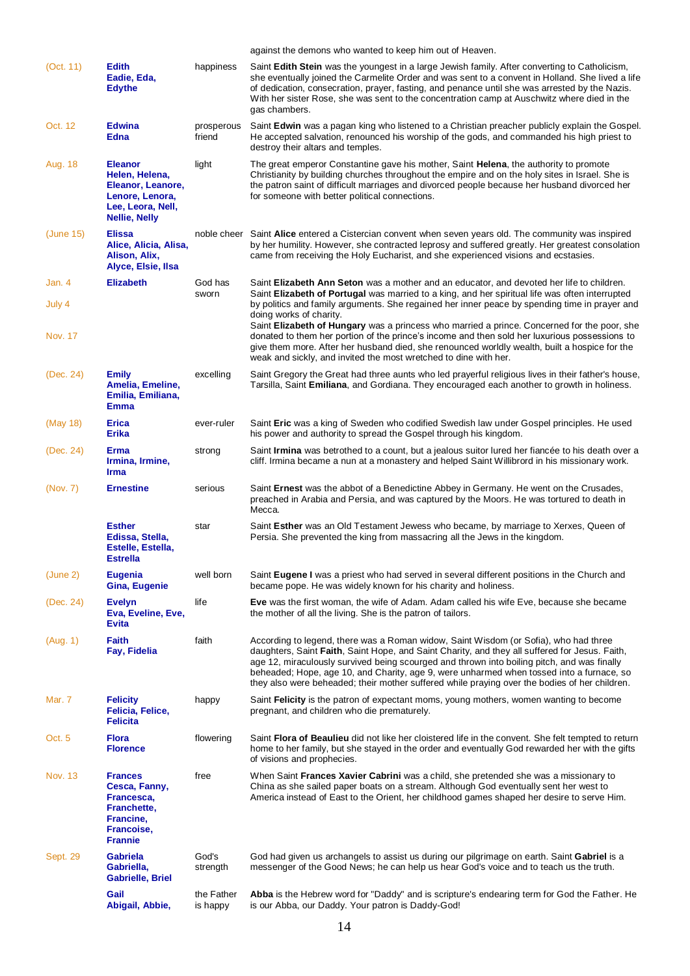|                  |                                                                                                                       |                        | against the demons who wanted to keep him out of Heaven.                                                                                                                                                                                                                                                                                                                                                                                                                           |
|------------------|-----------------------------------------------------------------------------------------------------------------------|------------------------|------------------------------------------------------------------------------------------------------------------------------------------------------------------------------------------------------------------------------------------------------------------------------------------------------------------------------------------------------------------------------------------------------------------------------------------------------------------------------------|
| (Oct. 11)        | <b>Edith</b><br>Eadie, Eda,<br><b>Edythe</b>                                                                          | happiness              | Saint Edith Stein was the youngest in a large Jewish family. After converting to Catholicism,<br>she eventually joined the Carmelite Order and was sent to a convent in Holland. She lived a life<br>of dedication, consecration, prayer, fasting, and penance until she was arrested by the Nazis.<br>With her sister Rose, she was sent to the concentration camp at Auschwitz where died in the<br>gas chambers.                                                                |
| Oct. 12          | <b>Edwina</b><br><b>Edna</b>                                                                                          | prosperous<br>friend   | Saint <b>Edwin</b> was a pagan king who listened to a Christian preacher publicly explain the Gospel.<br>He accepted salvation, renounced his worship of the gods, and commanded his high priest to<br>destroy their altars and temples.                                                                                                                                                                                                                                           |
| Aug. 18          | <b>Eleanor</b><br>Helen, Helena,<br>Eleanor, Leanore,<br>Lenore, Lenora,<br>Lee, Leora, Nell,<br><b>Nellie, Nelly</b> | light                  | The great emperor Constantine gave his mother, Saint <b>Helena</b> , the authority to promote<br>Christianity by building churches throughout the empire and on the holy sites in Israel. She is<br>the patron saint of difficult marriages and divorced people because her husband divorced her<br>for someone with better political connections.                                                                                                                                 |
| (June 15)        | <b>Elissa</b><br>Alice, Alicia, Alisa,<br>Alison, Alix,<br>Alyce, Elsie, Ilsa                                         |                        | noble cheer Saint Alice entered a Cistercian convent when seven years old. The community was inspired<br>by her humility. However, she contracted leprosy and suffered greatly. Her greatest consolation<br>came from receiving the Holy Eucharist, and she experienced visions and ecstasies.                                                                                                                                                                                     |
| Jan. 4<br>July 4 | <b>Elizabeth</b>                                                                                                      | God has<br>sworn       | Saint Elizabeth Ann Seton was a mother and an educator, and devoted her life to children.<br>Saint Elizabeth of Portugal was married to a king, and her spiritual life was often interrupted<br>by politics and family arguments. She regained her inner peace by spending time in prayer and<br>doing works of charity.                                                                                                                                                           |
| <b>Nov. 17</b>   |                                                                                                                       |                        | Saint Elizabeth of Hungary was a princess who married a prince. Concerned for the poor, she<br>donated to them her portion of the prince's income and then sold her luxurious possessions to<br>give them more. After her husband died, she renounced worldly wealth, built a hospice for the<br>weak and sickly, and invited the most wretched to dine with her.                                                                                                                  |
| (Dec. 24)        | <b>Emily</b><br>Amelia, Emeline,<br>Emilia, Emiliana,<br>Emma                                                         | excelling              | Saint Gregory the Great had three aunts who led prayerful religious lives in their father's house,<br>Tarsilla, Saint Emiliana, and Gordiana. They encouraged each another to growth in holiness.                                                                                                                                                                                                                                                                                  |
| (May 18)         | <b>Erica</b><br><b>Erika</b>                                                                                          | ever-ruler             | Saint Eric was a king of Sweden who codified Swedish law under Gospel principles. He used<br>his power and authority to spread the Gospel through his kingdom.                                                                                                                                                                                                                                                                                                                     |
| (Dec. 24)        | <b>Erma</b><br>Irmina, Irmine,<br><b>Irma</b>                                                                         | strong                 | Saint Irmina was betrothed to a count, but a jealous suitor lured her fiancée to his death over a<br>cliff. Irmina became a nun at a monastery and helped Saint Willibrord in his missionary work.                                                                                                                                                                                                                                                                                 |
| (Nov. 7)         | <b>Ernestine</b>                                                                                                      | serious                | Saint Ernest was the abbot of a Benedictine Abbey in Germany. He went on the Crusades,<br>preached in Arabia and Persia, and was captured by the Moors. He was tortured to death in<br>Mecca.                                                                                                                                                                                                                                                                                      |
|                  | <b>Esther</b><br>Edissa, Stella,<br>Estelle, Estella,<br><b>Estrella</b>                                              | star                   | Saint Esther was an Old Testament Jewess who became, by marriage to Xerxes, Queen of<br>Persia. She prevented the king from massacring all the Jews in the kingdom.                                                                                                                                                                                                                                                                                                                |
| (June 2)         | Eugenia<br>Gina, Eugenie                                                                                              | well born              | Saint <b>Eugene I</b> was a priest who had served in several different positions in the Church and<br>became pope. He was widely known for his charity and holiness.                                                                                                                                                                                                                                                                                                               |
| (Dec. 24)        | <b>Evelyn</b><br>Eva, Eveline, Eve,<br><b>Evita</b>                                                                   | life                   | <b>Eve</b> was the first woman, the wife of Adam. Adam called his wife Eve, because she became<br>the mother of all the living. She is the patron of tailors.                                                                                                                                                                                                                                                                                                                      |
| (Aug. 1)         | <b>Faith</b><br>Fay, Fidelia                                                                                          | faith                  | According to legend, there was a Roman widow, Saint Wisdom (or Sofia), who had three<br>daughters, Saint Faith, Saint Hope, and Saint Charity, and they all suffered for Jesus. Faith,<br>age 12, miraculously survived being scourged and thrown into boiling pitch, and was finally<br>beheaded; Hope, age 10, and Charity, age 9, were unharmed when tossed into a furnace, so<br>they also were beheaded; their mother suffered while praying over the bodies of her children. |
| Mar. 7           | <b>Felicity</b><br>Felicia, Felice,<br><b>Felicita</b>                                                                | happy                  | Saint Felicity is the patron of expectant moms, young mothers, women wanting to become<br>pregnant, and children who die prematurely.                                                                                                                                                                                                                                                                                                                                              |
| Oct. 5           | <b>Flora</b><br><b>Florence</b>                                                                                       | flowering              | Saint Flora of Beaulieu did not like her cloistered life in the convent. She felt tempted to return<br>home to her family, but she stayed in the order and eventually God rewarded her with the gifts<br>of visions and prophecies.                                                                                                                                                                                                                                                |
| <b>Nov. 13</b>   | <b>Frances</b><br>Cesca, Fanny,<br>Francesca,<br>Franchette,<br>Francine,<br>Francoise,<br><b>Frannie</b>             | free                   | When Saint Frances Xavier Cabrini was a child, she pretended she was a missionary to<br>China as she sailed paper boats on a stream. Although God eventually sent her west to<br>America instead of East to the Orient, her childhood games shaped her desire to serve Him.                                                                                                                                                                                                        |
| Sept. 29         | <b>Gabriela</b><br>Gabriella,<br><b>Gabrielle, Briel</b>                                                              | God's<br>strength      | God had given us archangels to assist us during our pilgrimage on earth. Saint Gabriel is a<br>messenger of the Good News; he can help us hear God's voice and to teach us the truth.                                                                                                                                                                                                                                                                                              |
|                  | Gail<br>Abigail, Abbie,                                                                                               | the Father<br>is happy | Abba is the Hebrew word for "Daddy" and is scripture's endearing term for God the Father. He<br>is our Abba, our Daddy. Your patron is Daddy-God!                                                                                                                                                                                                                                                                                                                                  |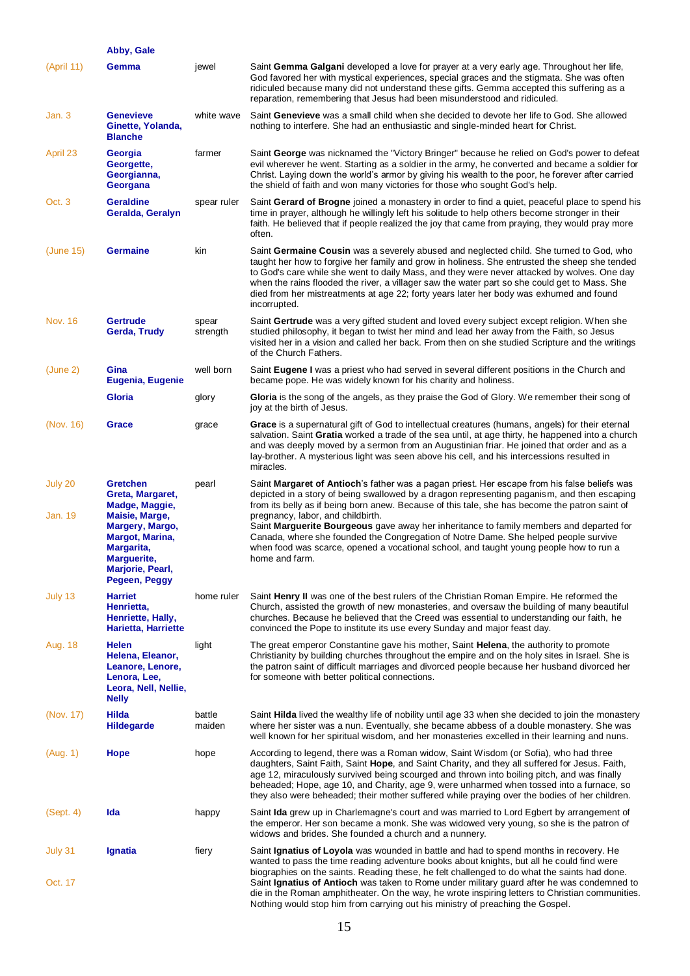|                    | Abby, Gale                                                                                                                                                                      |                   |                                                                                                                                                                                                                                                                                                                                                                                                                                                                                                                                                                                                                                  |
|--------------------|---------------------------------------------------------------------------------------------------------------------------------------------------------------------------------|-------------------|----------------------------------------------------------------------------------------------------------------------------------------------------------------------------------------------------------------------------------------------------------------------------------------------------------------------------------------------------------------------------------------------------------------------------------------------------------------------------------------------------------------------------------------------------------------------------------------------------------------------------------|
| (April 11)         | Gemma                                                                                                                                                                           | jewel             | Saint Gemma Galgani developed a love for prayer at a very early age. Throughout her life,<br>God favored her with mystical experiences, special graces and the stigmata. She was often<br>ridiculed because many did not understand these gifts. Gemma accepted this suffering as a<br>reparation, remembering that Jesus had been misunderstood and ridiculed.                                                                                                                                                                                                                                                                  |
| Jan. 3             | <b>Genevieve</b><br>Ginette, Yolanda,<br><b>Blanche</b>                                                                                                                         | white wave        | Saint Genevieve was a small child when she decided to devote her life to God. She allowed<br>nothing to interfere. She had an enthusiastic and single-minded heart for Christ.                                                                                                                                                                                                                                                                                                                                                                                                                                                   |
| April 23           | Georgia<br>Georgette,<br>Georgianna,<br>Georgana                                                                                                                                | farmer            | Saint George was nicknamed the "Victory Bringer" because he relied on God's power to defeat<br>evil wherever he went. Starting as a soldier in the army, he converted and became a soldier for<br>Christ. Laying down the world's armor by giving his wealth to the poor, he forever after carried<br>the shield of faith and won many victories for those who sought God's help.                                                                                                                                                                                                                                                |
| Oct. 3             | <b>Geraldine</b><br>Geralda, Geralyn                                                                                                                                            | spear ruler       | Saint Gerard of Brogne joined a monastery in order to find a quiet, peaceful place to spend his<br>time in prayer, although he willingly left his solitude to help others become stronger in their<br>faith. He believed that if people realized the joy that came from praying, they would pray more<br>often.                                                                                                                                                                                                                                                                                                                  |
| (June 15)          | <b>Germaine</b>                                                                                                                                                                 | kin               | Saint Germaine Cousin was a severely abused and neglected child. She turned to God, who<br>taught her how to forgive her family and grow in holiness. She entrusted the sheep she tended<br>to God's care while she went to daily Mass, and they were never attacked by wolves. One day<br>when the rains flooded the river, a villager saw the water part so she could get to Mass. She<br>died from her mistreatments at age 22; forty years later her body was exhumed and found<br>incorrupted.                                                                                                                              |
| Nov. 16            | <b>Gertrude</b><br>Gerda, Trudy                                                                                                                                                 | spear<br>strength | Saint Gertrude was a very gifted student and loved every subject except religion. When she<br>studied philosophy, it began to twist her mind and lead her away from the Faith, so Jesus<br>visited her in a vision and called her back. From then on she studied Scripture and the writings<br>of the Church Fathers.                                                                                                                                                                                                                                                                                                            |
| (June 2)           | Gina<br>Eugenia, Eugenie                                                                                                                                                        | well born         | Saint <b>Eugene I</b> was a priest who had served in several different positions in the Church and<br>became pope. He was widely known for his charity and holiness.                                                                                                                                                                                                                                                                                                                                                                                                                                                             |
|                    | Gloria                                                                                                                                                                          | glory             | Gloria is the song of the angels, as they praise the God of Glory. We remember their song of<br>joy at the birth of Jesus.                                                                                                                                                                                                                                                                                                                                                                                                                                                                                                       |
| (Nov. 16)          | Grace                                                                                                                                                                           | grace             | Grace is a supernatural gift of God to intellectual creatures (humans, angels) for their eternal<br>salvation. Saint Gratia worked a trade of the sea until, at age thirty, he happened into a church<br>and was deeply moved by a sermon from an Augustinian friar. He joined that order and as a<br>lay-brother. A mysterious light was seen above his cell, and his intercessions resulted in<br>miracles.                                                                                                                                                                                                                    |
| July 20<br>Jan. 19 | <b>Gretchen</b><br>Greta, Margaret,<br>Madge, Maggie,<br>Maisie, Marge,<br>Margery, Margo,<br>Margot, Marina,<br>Margarita,<br>Marguerite,<br>Marjorie, Pearl,<br>Pegeen, Peggy | pearl             | Saint Margaret of Antioch's father was a pagan priest. Her escape from his false beliefs was<br>depicted in a story of being swallowed by a dragon representing paganism, and then escaping<br>from its belly as if being born anew. Because of this tale, she has become the patron saint of<br>pregnancy, labor, and childbirth.<br>Saint Marguerite Bourgeous gave away her inheritance to family members and departed for<br>Canada, where she founded the Congregation of Notre Dame. She helped people survive<br>when food was scarce, opened a vocational school, and taught young people how to run a<br>home and farm. |
| July 13            | <b>Harriet</b><br>Henrietta,<br>Henriette, Hally,<br>Harietta, Harriette                                                                                                        | home ruler        | Saint Henry II was one of the best rulers of the Christian Roman Empire. He reformed the<br>Church, assisted the growth of new monasteries, and oversaw the building of many beautiful<br>churches. Because he believed that the Creed was essential to understanding our faith, he<br>convinced the Pope to institute its use every Sunday and major feast day.                                                                                                                                                                                                                                                                 |
| Aug. 18            | <b>Helen</b><br>Helena, Eleanor,<br>Leanore, Lenore,<br>Lenora, Lee,<br>Leora, Nell, Nellie,<br><b>Nelly</b>                                                                    | light             | The great emperor Constantine gave his mother, Saint <b>Helena</b> , the authority to promote<br>Christianity by building churches throughout the empire and on the holy sites in Israel. She is<br>the patron saint of difficult marriages and divorced people because her husband divorced her<br>for someone with better political connections.                                                                                                                                                                                                                                                                               |
| (Nov. 17)          | Hilda<br>Hildegarde                                                                                                                                                             | battle<br>maiden  | Saint Hilda lived the wealthy life of nobility until age 33 when she decided to join the monastery<br>where her sister was a nun. Eventually, she became abbess of a double monastery. She was<br>well known for her spiritual wisdom, and her monasteries excelled in their learning and nuns.                                                                                                                                                                                                                                                                                                                                  |
| (Aug. 1)           | Hope                                                                                                                                                                            | hope              | According to legend, there was a Roman widow, Saint Wisdom (or Sofia), who had three<br>daughters, Saint Faith, Saint Hope, and Saint Charity, and they all suffered for Jesus. Faith,<br>age 12, miraculously survived being scourged and thrown into boiling pitch, and was finally<br>beheaded; Hope, age 10, and Charity, age 9, were unharmed when tossed into a furnace, so<br>they also were beheaded; their mother suffered while praying over the bodies of her children.                                                                                                                                               |
| (Sept. 4)          | Ida                                                                                                                                                                             | happy             | Saint Ida grew up in Charlemagne's court and was married to Lord Egbert by arrangement of<br>the emperor. Her son became a monk. She was widowed very young, so she is the patron of<br>widows and brides. She founded a church and a nunnery.                                                                                                                                                                                                                                                                                                                                                                                   |
| July 31<br>Oct. 17 | Ignatia                                                                                                                                                                         | fiery             | Saint Ignatius of Loyola was wounded in battle and had to spend months in recovery. He<br>wanted to pass the time reading adventure books about knights, but all he could find were<br>biographies on the saints. Reading these, he felt challenged to do what the saints had done.<br>Saint Ignatius of Antioch was taken to Rome under military guard after he was condemned to<br>die in the Roman amphitheater. On the way, he wrote inspiring letters to Christian communities.<br>Nothing would stop him from carrying out his ministry of preaching the Gospel.                                                           |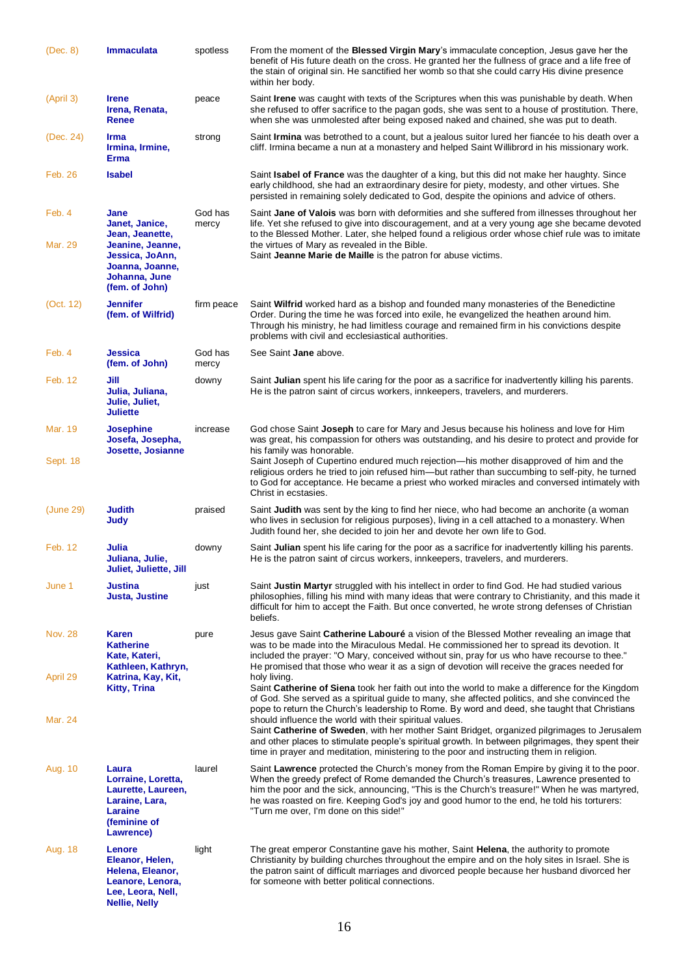| (Dec. 8)          | <b>Immaculata</b>                                                                                              | spotless         | From the moment of the <b>Blessed Virgin Mary's</b> immaculate conception, Jesus gave her the<br>benefit of His future death on the cross. He granted her the fullness of grace and a life free of<br>the stain of original sin. He sanctified her womb so that she could carry His divine presence<br>within her body.                                                                                                                |
|-------------------|----------------------------------------------------------------------------------------------------------------|------------------|----------------------------------------------------------------------------------------------------------------------------------------------------------------------------------------------------------------------------------------------------------------------------------------------------------------------------------------------------------------------------------------------------------------------------------------|
| (April 3)         | <b>Irene</b><br>Irena, Renata,<br><b>Renee</b>                                                                 | peace            | Saint <b>Irene</b> was caught with texts of the Scriptures when this was punishable by death. When<br>she refused to offer sacrifice to the pagan gods, she was sent to a house of prostitution. There,<br>when she was unmolested after being exposed naked and chained, she was put to death.                                                                                                                                        |
| (Dec. 24)         | <b>Irma</b><br>Irmina, Irmine,<br><b>Erma</b>                                                                  | strong           | Saint <b>Irmina</b> was betrothed to a count, but a jealous suitor lured her fiancée to his death over a<br>cliff. Irmina became a nun at a monastery and helped Saint Willibrord in his missionary work.                                                                                                                                                                                                                              |
| Feb. 26           | <b>Isabel</b>                                                                                                  |                  | Saint <b>Isabel of France</b> was the daughter of a king, but this did not make her haughty. Since<br>early childhood, she had an extraordinary desire for piety, modesty, and other virtues. She<br>persisted in remaining solely dedicated to God, despite the opinions and advice of others.                                                                                                                                        |
| Feb. 4<br>Mar. 29 | Jane<br>Janet, Janice,<br>Jean, Jeanette,<br>Jeanine, Jeanne,<br>Jessica, JoAnn,<br>Joanna, Joanne,            | God has<br>mercy | Saint Jane of Valois was born with deformities and she suffered from illnesses throughout her<br>life. Yet she refused to give into discouragement, and at a very young age she became devoted<br>to the Blessed Mother. Later, she helped found a religious order whose chief rule was to imitate<br>the virtues of Mary as revealed in the Bible.<br>Saint Jeanne Marie de Maille is the patron for abuse victims.                   |
|                   | Johanna, June<br>(fem. of John)                                                                                |                  |                                                                                                                                                                                                                                                                                                                                                                                                                                        |
| (Oct. 12)         | <b>Jennifer</b><br>(fem. of Wilfrid)                                                                           | firm peace       | Saint Wilfrid worked hard as a bishop and founded many monasteries of the Benedictine<br>Order. During the time he was forced into exile, he evangelized the heathen around him.<br>Through his ministry, he had limitless courage and remained firm in his convictions despite<br>problems with civil and ecclesiastical authorities.                                                                                                 |
| Feb. 4            | <b>Jessica</b><br>(fem. of John)                                                                               | God has<br>mercy | See Saint <b>Jane</b> above.                                                                                                                                                                                                                                                                                                                                                                                                           |
| Feb. 12           | Jill<br>Julia, Juliana,<br>Julie, Juliet,<br><b>Juliette</b>                                                   | downy            | Saint Julian spent his life caring for the poor as a sacrifice for inadvertently killing his parents.<br>He is the patron saint of circus workers, innkeepers, travelers, and murderers.                                                                                                                                                                                                                                               |
| Mar. 19           | <b>Josephine</b><br>Josefa, Josepha,<br>Josette, Josianne                                                      | increase         | God chose Saint Joseph to care for Mary and Jesus because his holiness and love for Him<br>was great, his compassion for others was outstanding, and his desire to protect and provide for<br>his family was honorable.                                                                                                                                                                                                                |
| Sept. 18          |                                                                                                                |                  | Saint Joseph of Cupertino endured much rejection—his mother disapproved of him and the<br>religious orders he tried to join refused him—but rather than succumbing to self-pity, he turned<br>to God for acceptance. He became a priest who worked miracles and conversed intimately with<br>Christ in ecstasies.                                                                                                                      |
| (June 29)         | <b>Judith</b><br>Judy                                                                                          | praised          | Saint <b>Judith</b> was sent by the king to find her niece, who had become an anchorite (a woman<br>who lives in seclusion for religious purposes), living in a cell attached to a monastery. When<br>Judith found her, she decided to join her and devote her own life to God.                                                                                                                                                        |
| Feb. 12           | Julia<br>Juliana, Julie,<br>Juliet, Juliette, Jill                                                             | downy            | Saint Julian spent his life caring for the poor as a sacrifice for inadvertently killing his parents.<br>He is the patron saint of circus workers, innkeepers, travelers, and murderers.                                                                                                                                                                                                                                               |
| June 1            | <b>Justina</b><br><b>Justa, Justine</b>                                                                        | just             | Saint Justin Martyr struggled with his intellect in order to find God. He had studied various<br>philosophies, filling his mind with many ideas that were contrary to Christianity, and this made it<br>difficult for him to accept the Faith. But once converted, he wrote strong defenses of Christian<br>beliefs.                                                                                                                   |
| <b>Nov. 28</b>    | <b>Karen</b><br><b>Katherine</b><br>Kate, Kateri,<br>Kathleen, Kathryn,                                        | pure             | Jesus gave Saint Catherine Labouré a vision of the Blessed Mother revealing an image that<br>was to be made into the Miraculous Medal. He commissioned her to spread its devotion. It<br>included the prayer: "O Mary, conceived without sin, pray for us who have recourse to thee."<br>He promised that those who wear it as a sign of devotion will receive the graces needed for                                                   |
| April 29          | Katrina, Kay, Kit,<br><b>Kitty, Trina</b>                                                                      |                  | holy living.<br>Saint Catherine of Siena took her faith out into the world to make a difference for the Kingdom<br>of God. She served as a spiritual quide to many, she affected politics, and she convinced the<br>pope to return the Church's leadership to Rome. By word and deed, she taught that Christians                                                                                                                       |
| Mar. 24           |                                                                                                                |                  | should influence the world with their spiritual values.<br>Saint Catherine of Sweden, with her mother Saint Bridget, organized pilgrimages to Jerusalem<br>and other places to stimulate people's spiritual growth. In between pilgrimages, they spent their<br>time in prayer and meditation, ministering to the poor and instructing them in religion.                                                                               |
| Aug. 10           | Laura<br>Lorraine, Loretta,<br>Laurette, Laureen,<br>Laraine, Lara,<br>Laraine<br>(feminine of<br>Lawrence)    | laurel           | Saint <b>Lawrence</b> protected the Church's money from the Roman Empire by giving it to the poor.<br>When the greedy prefect of Rome demanded the Church's treasures, Lawrence presented to<br>him the poor and the sick, announcing, "This is the Church's treasure!" When he was martyred,<br>he was roasted on fire. Keeping God's joy and good humor to the end, he told his torturers:<br>"Turn me over, I'm done on this side!" |
| Aug. 18           | Lenore<br>Eleanor, Helen,<br>Helena, Eleanor,<br>Leanore, Lenora,<br>Lee, Leora, Nell,<br><b>Nellie, Nelly</b> | light            | The great emperor Constantine gave his mother, Saint <b>Helena</b> , the authority to promote<br>Christianity by building churches throughout the empire and on the holy sites in Israel. She is<br>the patron saint of difficult marriages and divorced people because her husband divorced her<br>for someone with better political connections.                                                                                     |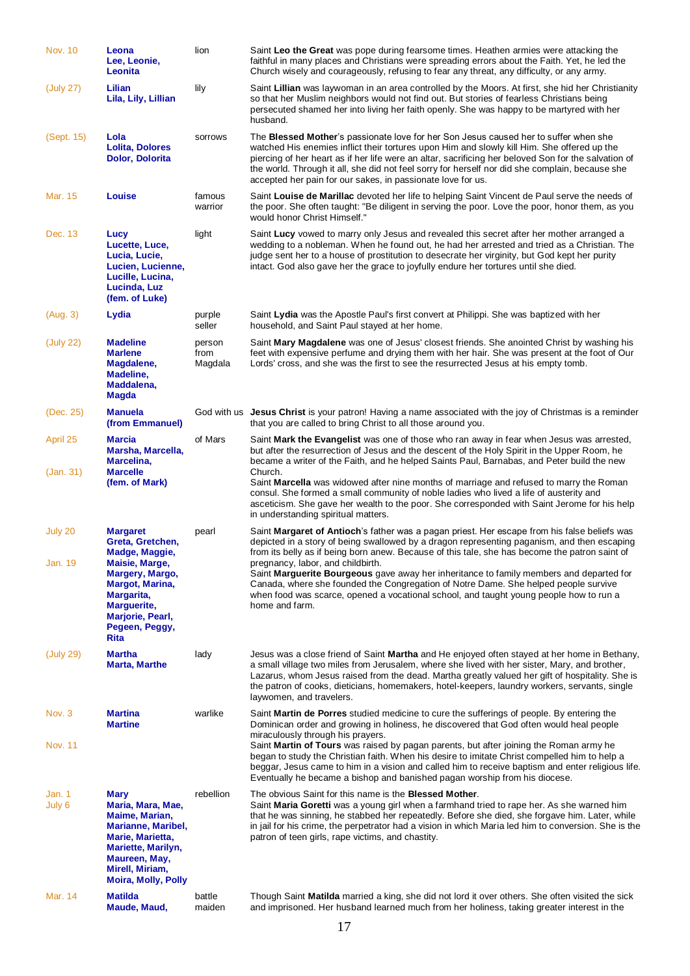| <b>Nov. 10</b>        | Leona<br>Lee, Leonie,<br>Leonita                                                                                                                                                                   | lion                      | Saint Leo the Great was pope during fearsome times. Heathen armies were attacking the<br>faithful in many places and Christians were spreading errors about the Faith. Yet, he led the<br>Church wisely and courageously, refusing to fear any threat, any difficulty, or any army.                                                                                                                                                                                                                                                                                                                                              |
|-----------------------|----------------------------------------------------------------------------------------------------------------------------------------------------------------------------------------------------|---------------------------|----------------------------------------------------------------------------------------------------------------------------------------------------------------------------------------------------------------------------------------------------------------------------------------------------------------------------------------------------------------------------------------------------------------------------------------------------------------------------------------------------------------------------------------------------------------------------------------------------------------------------------|
| (July 27)             | Lilian<br>Lila, Lily, Lillian                                                                                                                                                                      | lily                      | Saint Lillian was laywoman in an area controlled by the Moors. At first, she hid her Christianity<br>so that her Muslim neighbors would not find out. But stories of fearless Christians being<br>persecuted shamed her into living her faith openly. She was happy to be martyred with her<br>husband.                                                                                                                                                                                                                                                                                                                          |
| (Sept. 15)            | Lola<br><b>Lolita, Dolores</b><br><b>Dolor, Dolorita</b>                                                                                                                                           | sorrows                   | The Blessed Mother's passionate love for her Son Jesus caused her to suffer when she<br>watched His enemies inflict their tortures upon Him and slowly kill Him. She offered up the<br>piercing of her heart as if her life were an altar, sacrificing her beloved Son for the salvation of<br>the world. Through it all, she did not feel sorry for herself nor did she complain, because she<br>accepted her pain for our sakes, in passionate love for us.                                                                                                                                                                    |
| Mar. 15               | <b>Louise</b>                                                                                                                                                                                      | famous<br>warrior         | Saint Louise de Marillac devoted her life to helping Saint Vincent de Paul serve the needs of<br>the poor. She often taught: "Be diligent in serving the poor. Love the poor, honor them, as you<br>would honor Christ Himself."                                                                                                                                                                                                                                                                                                                                                                                                 |
| Dec. 13               | Lucy<br>Lucette, Luce,<br>Lucia, Lucie,<br>Lucien, Lucienne,<br>Lucille, Lucina,<br>Lucinda, Luz<br>(fem. of Luke)                                                                                 | light                     | Saint Lucy vowed to marry only Jesus and revealed this secret after her mother arranged a<br>wedding to a nobleman. When he found out, he had her arrested and tried as a Christian. The<br>judge sent her to a house of prostitution to desecrate her virginity, but God kept her purity<br>intact. God also gave her the grace to joyfully endure her tortures until she died.                                                                                                                                                                                                                                                 |
| (Aug. 3)              | Lydia                                                                                                                                                                                              | purple<br>seller          | Saint Lydia was the Apostle Paul's first convert at Philippi. She was baptized with her<br>household, and Saint Paul stayed at her home.                                                                                                                                                                                                                                                                                                                                                                                                                                                                                         |
| (July 22)             | <b>Madeline</b><br><b>Marlene</b><br>Magdalene,<br>Madeline,<br>Maddalena,<br>Magda                                                                                                                | person<br>from<br>Magdala | Saint Mary Magdalene was one of Jesus' closest friends. She anointed Christ by washing his<br>feet with expensive perfume and drying them with her hair. She was present at the foot of Our<br>Lords' cross, and she was the first to see the resurrected Jesus at his empty tomb.                                                                                                                                                                                                                                                                                                                                               |
| (Dec. 25)             | <b>Manuela</b><br>(from Emmanuel)                                                                                                                                                                  |                           | God with us Jesus Christ is your patron! Having a name associated with the joy of Christmas is a reminder<br>that you are called to bring Christ to all those around you.                                                                                                                                                                                                                                                                                                                                                                                                                                                        |
| April 25<br>(Jan. 31) | <b>Marcia</b><br>Marsha, Marcella,<br>Marcelina,<br><b>Marcelle</b><br>(fem. of Mark)                                                                                                              | of Mars                   | Saint Mark the Evangelist was one of those who ran away in fear when Jesus was arrested,<br>but after the resurrection of Jesus and the descent of the Holy Spirit in the Upper Room, he<br>became a writer of the Faith, and he helped Saints Paul, Barnabas, and Peter build the new<br>Church.<br>Saint Marcella was widowed after nine months of marriage and refused to marry the Roman<br>consul. She formed a small community of noble ladies who lived a life of austerity and<br>asceticism. She gave her wealth to the poor. She corresponded with Saint Jerome for his help<br>in understanding spiritual matters.    |
| July 20<br>Jan. 19    | <b>Margaret</b><br>Greta, Gretchen,<br>Madge, Maggie,<br>Maisie, Marge,<br>Margery, Margo,<br>Margot, Marina,<br>Margarita,<br>Marguerite,<br>Marjorie, Pearl,<br>Pegeen, Peggy,<br>Rita           | pearl                     | Saint Margaret of Antioch's father was a pagan priest. Her escape from his false beliefs was<br>depicted in a story of being swallowed by a dragon representing paganism, and then escaping<br>from its belly as if being born anew. Because of this tale, she has become the patron saint of<br>pregnancy, labor, and childbirth.<br>Saint Marquerite Bourgeous gave away her inheritance to family members and departed for<br>Canada, where she founded the Congregation of Notre Dame. She helped people survive<br>when food was scarce, opened a vocational school, and taught young people how to run a<br>home and farm. |
| (July 29)             | <b>Martha</b><br><b>Marta, Marthe</b>                                                                                                                                                              | lady                      | Jesus was a close friend of Saint Martha and He enjoyed often stayed at her home in Bethany,<br>a small village two miles from Jerusalem, where she lived with her sister, Mary, and brother,<br>Lazarus, whom Jesus raised from the dead. Martha greatly valued her gift of hospitality. She is<br>the patron of cooks, dieticians, homemakers, hotel-keepers, laundry workers, servants, single<br>laywomen, and travelers.                                                                                                                                                                                                    |
| Nov. 3<br>Nov. 11     | <b>Martina</b><br><b>Martine</b>                                                                                                                                                                   | warlike                   | Saint Martin de Porres studied medicine to cure the sufferings of people. By entering the<br>Dominican order and growing in holiness, he discovered that God often would heal people<br>miraculously through his prayers.<br>Saint Martin of Tours was raised by pagan parents, but after joining the Roman army he<br>began to study the Christian faith. When his desire to imitate Christ compelled him to help a<br>beggar, Jesus came to him in a vision and called him to receive baptism and enter religious life.<br>Eventually he became a bishop and banished pagan worship from his diocese.                          |
| Jan. 1<br>July 6      | <b>Mary</b><br>Maria, Mara, Mae,<br>Maime, Marian,<br><b>Marianne, Maribel,</b><br>Marie, Marietta,<br><b>Mariette, Marilyn,</b><br>Maureen, May,<br>Mirell, Miriam,<br><b>Moira, Molly, Polly</b> | rebellion                 | The obvious Saint for this name is the <b>Blessed Mother</b> .<br>Saint Maria Goretti was a young girl when a farmhand tried to rape her. As she warned him<br>that he was sinning, he stabbed her repeatedly. Before she died, she forgave him. Later, while<br>in jail for his crime, the perpetrator had a vision in which Maria led him to conversion. She is the<br>patron of teen girls, rape victims, and chastity.                                                                                                                                                                                                       |
| Mar. 14               | <b>Matilda</b><br>Maude, Maud,                                                                                                                                                                     | battle<br>maiden          | Though Saint <b>Matilda</b> married a king, she did not lord it over others. She often visited the sick<br>and imprisoned. Her husband learned much from her holiness, taking greater interest in the                                                                                                                                                                                                                                                                                                                                                                                                                            |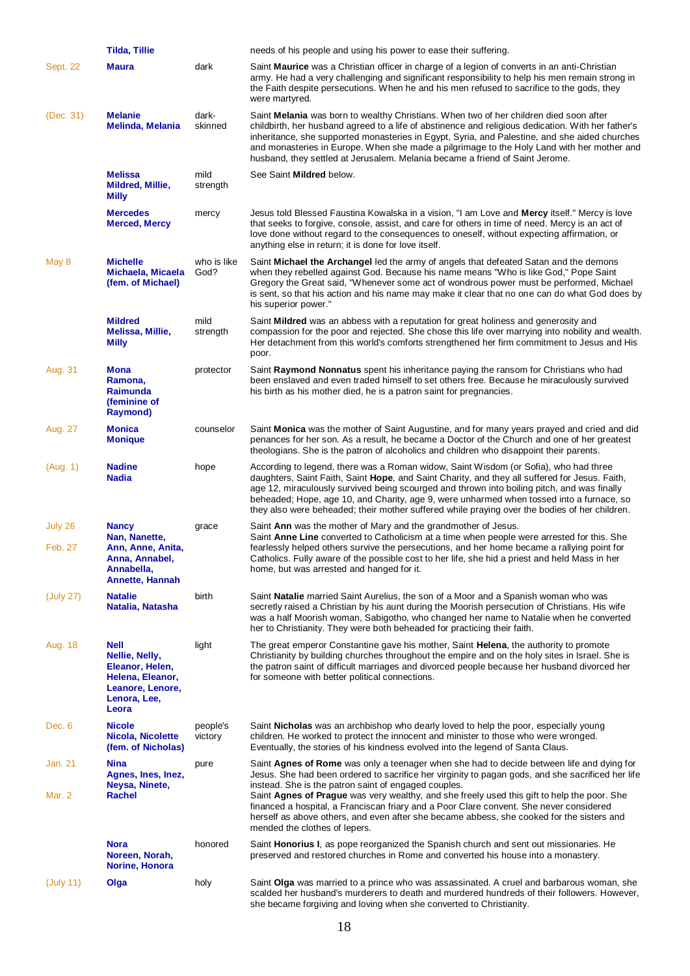|                    | <b>Tilda, Tillie</b>                                                                                              |                     | needs of his people and using his power to ease their suffering.                                                                                                                                                                                                                                                                                                                                                                                                                                                                                                               |
|--------------------|-------------------------------------------------------------------------------------------------------------------|---------------------|--------------------------------------------------------------------------------------------------------------------------------------------------------------------------------------------------------------------------------------------------------------------------------------------------------------------------------------------------------------------------------------------------------------------------------------------------------------------------------------------------------------------------------------------------------------------------------|
| Sept. 22           | <b>Maura</b>                                                                                                      | dark                | Saint Maurice was a Christian officer in charge of a legion of converts in an anti-Christian<br>army. He had a very challenging and significant responsibility to help his men remain strong in<br>the Faith despite persecutions. When he and his men refused to sacrifice to the gods, they<br>were martyred.                                                                                                                                                                                                                                                                |
| (Dec. 31)          | <b>Melanie</b><br><b>Melinda, Melania</b>                                                                         | dark-<br>skinned    | Saint Melania was born to wealthy Christians. When two of her children died soon after<br>childbirth, her husband agreed to a life of abstinence and religious dedication. With her father's<br>inheritance, she supported monasteries in Egypt, Syria, and Palestine, and she aided churches<br>and monasteries in Europe. When she made a pilgrimage to the Holy Land with her mother and<br>husband, they settled at Jerusalem. Melania became a friend of Saint Jerome.                                                                                                    |
|                    | <b>Melissa</b><br>Mildred, Millie,<br><b>Milly</b>                                                                | mild<br>strength    | See Saint Mildred below.                                                                                                                                                                                                                                                                                                                                                                                                                                                                                                                                                       |
|                    | <b>Mercedes</b><br><b>Merced, Mercy</b>                                                                           | mercy               | Jesus told Blessed Faustina Kowalska in a vision, "I am Love and Mercy itself." Mercy is love<br>that seeks to forgive, console, assist, and care for others in time of need. Mercy is an act of<br>love done without regard to the consequences to oneself, without expecting affirmation, or<br>anything else in return; it is done for love itself.                                                                                                                                                                                                                         |
| May 8              | <b>Michelle</b><br>Michaela, Micaela<br>(fem. of Michael)                                                         | who is like<br>God? | Saint Michael the Archangel led the army of angels that defeated Satan and the demons<br>when they rebelled against God. Because his name means "Who is like God," Pope Saint<br>Gregory the Great said, "Whenever some act of wondrous power must be performed, Michael<br>is sent, so that his action and his name may make it clear that no one can do what God does by<br>his superior power."                                                                                                                                                                             |
|                    | <b>Mildred</b><br>Melissa, Millie,<br><b>Milly</b>                                                                | mild<br>strength    | Saint <b>Mildred</b> was an abbess with a reputation for great holiness and generosity and<br>compassion for the poor and rejected. She chose this life over marrying into nobility and wealth.<br>Her detachment from this world's comforts strengthened her firm commitment to Jesus and His<br>poor.                                                                                                                                                                                                                                                                        |
| Aug. 31            | <b>Mona</b><br>Ramona,<br>Raimunda<br>(feminine of<br>Raymond)                                                    | protector           | Saint Raymond Nonnatus spent his inheritance paying the ransom for Christians who had<br>been enslaved and even traded himself to set others free. Because he miraculously survived<br>his birth as his mother died, he is a patron saint for pregnancies.                                                                                                                                                                                                                                                                                                                     |
| Aug. 27            | <b>Monica</b><br><b>Monique</b>                                                                                   | counselor           | Saint Monica was the mother of Saint Augustine, and for many years prayed and cried and did<br>penances for her son. As a result, he became a Doctor of the Church and one of her greatest<br>theologians. She is the patron of alcoholics and children who disappoint their parents.                                                                                                                                                                                                                                                                                          |
| (Aug. 1)           | <b>Nadine</b><br><b>Nadia</b>                                                                                     | hope                | According to legend, there was a Roman widow, Saint Wisdom (or Sofia), who had three<br>daughters, Saint Faith, Saint Hope, and Saint Charity, and they all suffered for Jesus. Faith,<br>age 12, miraculously survived being scourged and thrown into boiling pitch, and was finally<br>beheaded; Hope, age 10, and Charity, age 9, were unharmed when tossed into a furnace, so<br>they also were beheaded; their mother suffered while praying over the bodies of her children.                                                                                             |
| July 26<br>Feb. 27 | <b>Nancy</b><br>Nan, Nanette,<br>Ann, Anne, Anita,<br>Anna, Annabel,<br>Annabella,<br>Annette, Hannah             | grace               | Saint Ann was the mother of Mary and the grandmother of Jesus.<br>Saint Anne Line converted to Catholicism at a time when people were arrested for this. She<br>fearlessly helped others survive the persecutions, and her home became a rallying point for<br>Catholics. Fully aware of the possible cost to her life, she hid a priest and held Mass in her<br>home, but was arrested and hanged for it.                                                                                                                                                                     |
| (July 27)          | <b>Natalie</b><br>Natalia, Natasha                                                                                | birth               | Saint Natalie married Saint Aurelius, the son of a Moor and a Spanish woman who was<br>secretly raised a Christian by his aunt during the Moorish persecution of Christians. His wife<br>was a half Moorish woman, Sabigotho, who changed her name to Natalie when he converted<br>her to Christianity. They were both beheaded for practicing their faith.                                                                                                                                                                                                                    |
| Aug. 18            | <b>Nell</b><br>Nellie, Nelly,<br>Eleanor, Helen,<br>Helena, Eleanor,<br>Leanore, Lenore,<br>Lenora, Lee,<br>Leora | light               | The great emperor Constantine gave his mother, Saint <b>Helena</b> , the authority to promote<br>Christianity by building churches throughout the empire and on the holy sites in Israel. She is<br>the patron saint of difficult marriages and divorced people because her husband divorced her<br>for someone with better political connections.                                                                                                                                                                                                                             |
| Dec. 6             | <b>Nicole</b><br>Nicola, Nicolette<br>(fem. of Nicholas)                                                          | people's<br>victory | Saint <b>Nicholas</b> was an archbishop who dearly loved to help the poor, especially young<br>children. He worked to protect the innocent and minister to those who were wronged.<br>Eventually, the stories of his kindness evolved into the legend of Santa Claus.                                                                                                                                                                                                                                                                                                          |
| Jan. 21<br>Mar. 2  | <b>Nina</b><br>Agnes, Ines, Inez,<br>Neysa, Ninete,<br><b>Rachel</b>                                              | pure                | Saint Agnes of Rome was only a teenager when she had to decide between life and dying for<br>Jesus. She had been ordered to sacrifice her virginity to pagan gods, and she sacrificed her life<br>instead. She is the patron saint of engaged couples.<br>Saint Agnes of Prague was very wealthy, and she freely used this gift to help the poor. She<br>financed a hospital, a Franciscan friary and a Poor Clare convent. She never considered<br>herself as above others, and even after she became abbess, she cooked for the sisters and<br>mended the clothes of lepers. |
|                    | <b>Nora</b><br>Noreen, Norah,<br>Norine, Honora                                                                   | honored             | Saint Honorius I, as pope reorganized the Spanish church and sent out missionaries. He<br>preserved and restored churches in Rome and converted his house into a monastery.                                                                                                                                                                                                                                                                                                                                                                                                    |
| (July 11)          | Olga                                                                                                              | holy                | Saint Olga was married to a prince who was assassinated. A cruel and barbarous woman, she<br>scalded her husband's murderers to death and murdered hundreds of their followers. However,<br>she became forgiving and loving when she converted to Christianity.                                                                                                                                                                                                                                                                                                                |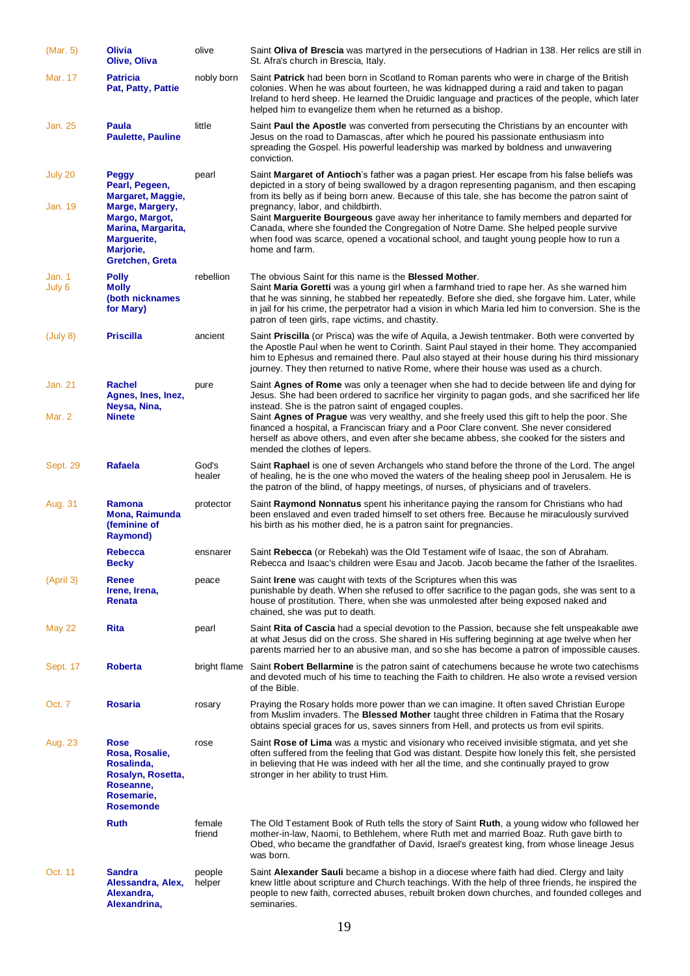| (Mar. 5)           | Olivia<br>Olive, Oliva                                                                                                                                               | olive            | Saint <b>Oliva of Brescia</b> was martyred in the persecutions of Hadrian in 138. Her relics are still in<br>St. Afra's church in Brescia, Italy.                                                                                                                                                                                                                                                                                                                                                                                                                                                                                |
|--------------------|----------------------------------------------------------------------------------------------------------------------------------------------------------------------|------------------|----------------------------------------------------------------------------------------------------------------------------------------------------------------------------------------------------------------------------------------------------------------------------------------------------------------------------------------------------------------------------------------------------------------------------------------------------------------------------------------------------------------------------------------------------------------------------------------------------------------------------------|
| Mar. 17            | <b>Patricia</b><br>Pat, Patty, Pattie                                                                                                                                | nobly born       | Saint Patrick had been born in Scotland to Roman parents who were in charge of the British<br>colonies. When he was about fourteen, he was kidnapped during a raid and taken to pagan<br>Ireland to herd sheep. He learned the Druidic language and practices of the people, which later<br>helped him to evangelize them when he returned as a bishop.                                                                                                                                                                                                                                                                          |
| Jan. 25            | Paula<br><b>Paulette, Pauline</b>                                                                                                                                    | little           | Saint Paul the Apostle was converted from persecuting the Christians by an encounter with<br>Jesus on the road to Damascas, after which he poured his passionate enthusiasm into<br>spreading the Gospel. His powerful leadership was marked by boldness and unwavering<br>conviction.                                                                                                                                                                                                                                                                                                                                           |
| July 20<br>Jan. 19 | <b>Peggy</b><br>Pearl, Pegeen,<br>Margaret, Maggie,<br>Marge, Margery,<br>Margo, Margot,<br>Marina, Margarita,<br>Marguerite,<br>Marjorie,<br><b>Gretchen, Greta</b> | pearl            | Saint Margaret of Antioch's father was a pagan priest. Her escape from his false beliefs was<br>depicted in a story of being swallowed by a dragon representing paganism, and then escaping<br>from its belly as if being born anew. Because of this tale, she has become the patron saint of<br>pregnancy, labor, and childbirth.<br>Saint Marguerite Bourgeous gave away her inheritance to family members and departed for<br>Canada, where she founded the Congregation of Notre Dame. She helped people survive<br>when food was scarce, opened a vocational school, and taught young people how to run a<br>home and farm. |
| Jan. 1<br>July 6   | <b>Polly</b><br><b>Molly</b><br>(both nicknames<br>for Mary)                                                                                                         | rebellion        | The obvious Saint for this name is the <b>Blessed Mother</b> .<br>Saint Maria Goretti was a young girl when a farmhand tried to rape her. As she warned him<br>that he was sinning, he stabbed her repeatedly. Before she died, she forgave him. Later, while<br>in jail for his crime, the perpetrator had a vision in which Maria led him to conversion. She is the<br>patron of teen girls, rape victims, and chastity.                                                                                                                                                                                                       |
| (July 8)           | <b>Priscilla</b>                                                                                                                                                     | ancient          | Saint Priscilla (or Prisca) was the wife of Aquila, a Jewish tentmaker. Both were converted by<br>the Apostle Paul when he went to Corinth. Saint Paul stayed in their home. They accompanied<br>him to Ephesus and remained there. Paul also stayed at their house during his third missionary<br>journey. They then returned to native Rome, where their house was used as a church.                                                                                                                                                                                                                                           |
| Jan. 21<br>Mar. 2  | <b>Rachel</b><br>Agnes, Ines, Inez,<br>Neysa, Nina,<br><b>Ninete</b>                                                                                                 | pure             | Saint Agnes of Rome was only a teenager when she had to decide between life and dying for<br>Jesus. She had been ordered to sacrifice her virginity to pagan gods, and she sacrificed her life<br>instead. She is the patron saint of engaged couples.<br>Saint Agnes of Prague was very wealthy, and she freely used this gift to help the poor. She<br>financed a hospital, a Franciscan friary and a Poor Clare convent. She never considered<br>herself as above others, and even after she became abbess, she cooked for the sisters and<br>mended the clothes of lepers.                                                   |
| Sept. 29           | Rafaela                                                                                                                                                              | God's<br>healer  | Saint Raphael is one of seven Archangels who stand before the throne of the Lord. The angel<br>of healing, he is the one who moved the waters of the healing sheep pool in Jerusalem. He is<br>the patron of the blind, of happy meetings, of nurses, of physicians and of travelers.                                                                                                                                                                                                                                                                                                                                            |
| Aug. 31            | Ramona<br><b>Mona, Raimunda</b><br>(feminine of<br>Raymond)                                                                                                          | protector        | Saint Raymond Nonnatus spent his inheritance paying the ransom for Christians who had<br>been enslaved and even traded himself to set others free. Because he miraculously survived<br>his birth as his mother died, he is a patron saint for pregnancies.                                                                                                                                                                                                                                                                                                                                                                       |
|                    | <b>Rebecca</b><br><b>Becky</b>                                                                                                                                       | ensnarer         | Saint Rebecca (or Rebekah) was the Old Testament wife of Isaac, the son of Abraham.<br>Rebecca and Isaac's children were Esau and Jacob. Jacob became the father of the Israelites.                                                                                                                                                                                                                                                                                                                                                                                                                                              |
| (April 3)          | Renee<br>Irene, Irena,<br>Renata                                                                                                                                     | peace            | Saint Irene was caught with texts of the Scriptures when this was<br>punishable by death. When she refused to offer sacrifice to the pagan gods, she was sent to a<br>house of prostitution. There, when she was unmolested after being exposed naked and<br>chained, she was put to death.                                                                                                                                                                                                                                                                                                                                      |
| <b>May 22</b>      | <b>Rita</b>                                                                                                                                                          | pearl            | Saint Rita of Cascia had a special devotion to the Passion, because she felt unspeakable awe<br>at what Jesus did on the cross. She shared in His suffering beginning at age twelve when her<br>parents married her to an abusive man, and so she has become a patron of impossible causes.                                                                                                                                                                                                                                                                                                                                      |
| Sept. 17           | <b>Roberta</b>                                                                                                                                                       | bright flame     | Saint Robert Bellarmine is the patron saint of catechumens because he wrote two catechisms<br>and devoted much of his time to teaching the Faith to children. He also wrote a revised version<br>of the Bible.                                                                                                                                                                                                                                                                                                                                                                                                                   |
| Oct. 7             | <b>Rosaria</b>                                                                                                                                                       | rosary           | Praying the Rosary holds more power than we can imagine. It often saved Christian Europe<br>from Muslim invaders. The <b>Blessed Mother</b> taught three children in Fatima that the Rosary<br>obtains special graces for us, saves sinners from Hell, and protects us from evil spirits.                                                                                                                                                                                                                                                                                                                                        |
| Aug. 23            | <b>Rose</b><br>Rosa, Rosalie,<br>Rosalinda,<br>Rosalyn, Rosetta,<br>Roseanne,<br>Rosemarie,<br><b>Rosemonde</b>                                                      | rose             | Saint Rose of Lima was a mystic and visionary who received invisible stigmata, and yet she<br>often suffered from the feeling that God was distant. Despite how lonely this felt, she persisted<br>in believing that He was indeed with her all the time, and she continually prayed to grow<br>stronger in her ability to trust Him.                                                                                                                                                                                                                                                                                            |
|                    | <b>Ruth</b>                                                                                                                                                          | female<br>friend | The Old Testament Book of Ruth tells the story of Saint Ruth, a young widow who followed her<br>mother-in-law, Naomi, to Bethlehem, where Ruth met and married Boaz. Ruth gave birth to<br>Obed, who became the grandfather of David, Israel's greatest king, from whose lineage Jesus<br>was born.                                                                                                                                                                                                                                                                                                                              |
| Oct. 11            | <b>Sandra</b><br>Alessandra, Alex,<br>Alexandra,<br>Alexandrina,                                                                                                     | people<br>helper | Saint Alexander Sauli became a bishop in a diocese where faith had died. Clergy and laity<br>knew little about scripture and Church teachings. With the help of three friends, he inspired the<br>people to new faith, corrected abuses, rebuilt broken down churches, and founded colleges and<br>seminaries.                                                                                                                                                                                                                                                                                                                   |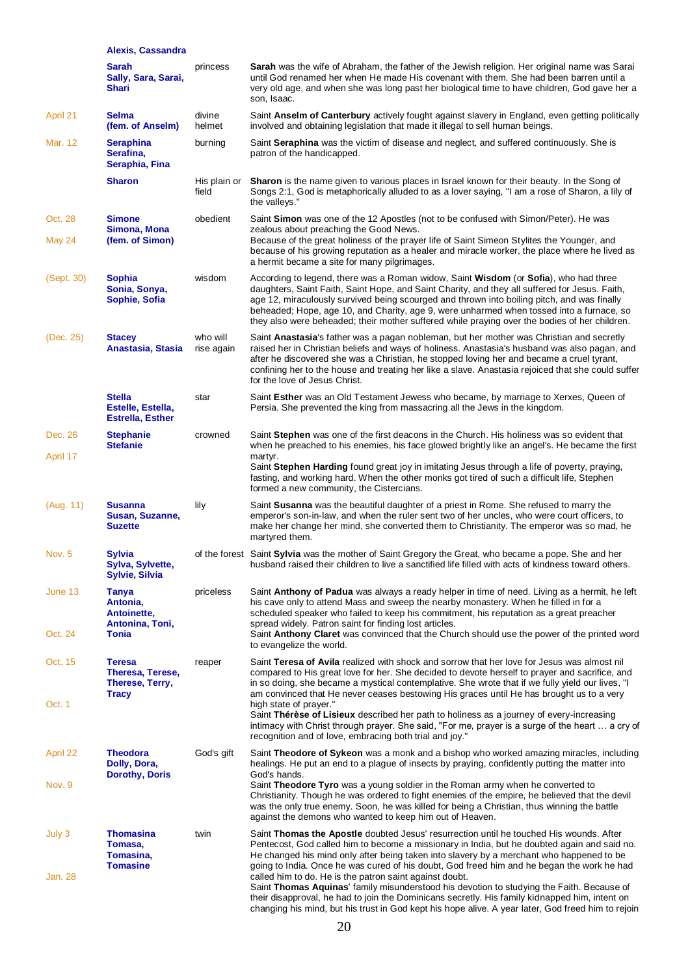| Sarah<br>princess<br>Sally, Sara, Sarai,<br>Shari<br>son, Isaac.<br>April 21<br>divine<br>Selma<br>involved and obtaining legislation that made it illegal to sell human beings.<br>(fem. of Anselm)<br>helmet<br>Mar. 12<br>Seraphina<br>burning<br>Serafina,<br>patron of the handicapped.<br>Seraphia, Fina<br><b>Sharon</b><br>His plain or<br>field<br>the valleys."<br><b>Simone</b><br>Oct. 28<br>obedient<br>Simona, Mona<br>zealous about preaching the Good News.<br><b>May 24</b><br>(fem. of Simon)<br>a hermit became a site for many pilgrimages.<br>Sophia<br>wisdom<br>(Sept. 30)<br>Sonia, Sonya,<br>Sophie, Sofia<br>(Dec. 25)<br>who will<br><b>Stacey</b><br>Anastasia, Stasia<br>rise again<br>for the love of Jesus Christ.<br><b>Stella</b><br>star<br>Estelle, Estella,<br>Persia. She prevented the king from massacring all the Jews in the kingdom.<br><b>Estrella, Esther</b><br>Dec. 26<br><b>Stephanie</b><br>crowned<br><b>Stefanie</b><br>April 17<br>martyr.<br>formed a new community, the Cistercians.<br>Susanna<br>lily<br>(Aug. 11)<br>Susan, Suzanne,<br><b>Suzette</b><br>martyred them.<br><b>Sylvia</b><br>of the forest Saint Sylvia was the mother of Saint Gregory the Great, who became a pope. She and her<br>Nov. 5<br>Sylva, Sylvette,<br><b>Sylvie, Silvia</b><br>June 13<br>priceless<br>Tanya<br>Antonia,<br>his cave only to attend Mass and sweep the nearby monastery. When he filled in for a<br>Antoinette,<br>Antonina, Toni,<br>spread widely. Patron saint for finding lost articles.<br>Oct. 24<br>Tonia<br>to evangelize the world.<br><b>Teresa</b><br>Oct. 15<br>reaper<br>Theresa, Terese,<br>Therese, Terry,<br>Tracy<br>Oct. 1<br>high state of prayer."<br>recognition and of love, embracing both trial and joy."<br><b>Theodora</b><br>God's gift<br>April 22<br>Dolly, Dora,<br>God's hands.<br><b>Dorothy, Doris</b><br>Nov. 9<br>Saint Theodore Tyro was a young soldier in the Roman army when he converted to<br>against the demons who wanted to keep him out of Heaven.<br><b>Thomasina</b><br>July 3<br>twin<br>Tomasa,<br>Tomasina, | Alexis, Cassandra |                                                                                                                                                                                                                                                                                                                                                                                                                                                                                                                                                                                  |
|--------------------------------------------------------------------------------------------------------------------------------------------------------------------------------------------------------------------------------------------------------------------------------------------------------------------------------------------------------------------------------------------------------------------------------------------------------------------------------------------------------------------------------------------------------------------------------------------------------------------------------------------------------------------------------------------------------------------------------------------------------------------------------------------------------------------------------------------------------------------------------------------------------------------------------------------------------------------------------------------------------------------------------------------------------------------------------------------------------------------------------------------------------------------------------------------------------------------------------------------------------------------------------------------------------------------------------------------------------------------------------------------------------------------------------------------------------------------------------------------------------------------------------------------------------------------------------------------------------------------------------------------------------------------------------------------------------------------------------------------------------------------------------------------------------------------------------------------------------------------------------------------------------------------------------------------------------------------------------------------------------------------------------------------------------------------------------------------------------------------|-------------------|----------------------------------------------------------------------------------------------------------------------------------------------------------------------------------------------------------------------------------------------------------------------------------------------------------------------------------------------------------------------------------------------------------------------------------------------------------------------------------------------------------------------------------------------------------------------------------|
|                                                                                                                                                                                                                                                                                                                                                                                                                                                                                                                                                                                                                                                                                                                                                                                                                                                                                                                                                                                                                                                                                                                                                                                                                                                                                                                                                                                                                                                                                                                                                                                                                                                                                                                                                                                                                                                                                                                                                                                                                                                                                                                    |                   | <b>Sarah</b> was the wife of Abraham, the father of the Jewish religion. Her original name was Sarai<br>until God renamed her when He made His covenant with them. She had been barren until a<br>very old age, and when she was long past her biological time to have children, God gave her a                                                                                                                                                                                                                                                                                  |
|                                                                                                                                                                                                                                                                                                                                                                                                                                                                                                                                                                                                                                                                                                                                                                                                                                                                                                                                                                                                                                                                                                                                                                                                                                                                                                                                                                                                                                                                                                                                                                                                                                                                                                                                                                                                                                                                                                                                                                                                                                                                                                                    |                   | Saint Anselm of Canterbury actively fought against slavery in England, even getting politically                                                                                                                                                                                                                                                                                                                                                                                                                                                                                  |
|                                                                                                                                                                                                                                                                                                                                                                                                                                                                                                                                                                                                                                                                                                                                                                                                                                                                                                                                                                                                                                                                                                                                                                                                                                                                                                                                                                                                                                                                                                                                                                                                                                                                                                                                                                                                                                                                                                                                                                                                                                                                                                                    |                   | Saint Seraphina was the victim of disease and neglect, and suffered continuously. She is                                                                                                                                                                                                                                                                                                                                                                                                                                                                                         |
|                                                                                                                                                                                                                                                                                                                                                                                                                                                                                                                                                                                                                                                                                                                                                                                                                                                                                                                                                                                                                                                                                                                                                                                                                                                                                                                                                                                                                                                                                                                                                                                                                                                                                                                                                                                                                                                                                                                                                                                                                                                                                                                    |                   | <b>Sharon</b> is the name given to various places in Israel known for their beauty. In the Song of<br>Songs 2:1, God is metaphorically alluded to as a lover saying, "I am a rose of Sharon, a lily of                                                                                                                                                                                                                                                                                                                                                                           |
|                                                                                                                                                                                                                                                                                                                                                                                                                                                                                                                                                                                                                                                                                                                                                                                                                                                                                                                                                                                                                                                                                                                                                                                                                                                                                                                                                                                                                                                                                                                                                                                                                                                                                                                                                                                                                                                                                                                                                                                                                                                                                                                    |                   | Saint Simon was one of the 12 Apostles (not to be confused with Simon/Peter). He was<br>Because of the great holiness of the prayer life of Saint Simeon Stylites the Younger, and<br>because of his growing reputation as a healer and miracle worker, the place where he lived as                                                                                                                                                                                                                                                                                              |
|                                                                                                                                                                                                                                                                                                                                                                                                                                                                                                                                                                                                                                                                                                                                                                                                                                                                                                                                                                                                                                                                                                                                                                                                                                                                                                                                                                                                                                                                                                                                                                                                                                                                                                                                                                                                                                                                                                                                                                                                                                                                                                                    |                   | According to legend, there was a Roman widow, Saint Wisdom (or Sofia), who had three<br>daughters, Saint Faith, Saint Hope, and Saint Charity, and they all suffered for Jesus. Faith,<br>age 12, miraculously survived being scourged and thrown into boiling pitch, and was finally<br>beheaded; Hope, age 10, and Charity, age 9, were unharmed when tossed into a furnace, so<br>they also were beheaded; their mother suffered while praying over the bodies of her children.                                                                                               |
|                                                                                                                                                                                                                                                                                                                                                                                                                                                                                                                                                                                                                                                                                                                                                                                                                                                                                                                                                                                                                                                                                                                                                                                                                                                                                                                                                                                                                                                                                                                                                                                                                                                                                                                                                                                                                                                                                                                                                                                                                                                                                                                    |                   | Saint Anastasia's father was a pagan nobleman, but her mother was Christian and secretly<br>raised her in Christian beliefs and ways of holiness. Anastasia's husband was also pagan, and<br>after he discovered she was a Christian, he stopped loving her and became a cruel tyrant,<br>confining her to the house and treating her like a slave. Anastasia rejoiced that she could suffer                                                                                                                                                                                     |
|                                                                                                                                                                                                                                                                                                                                                                                                                                                                                                                                                                                                                                                                                                                                                                                                                                                                                                                                                                                                                                                                                                                                                                                                                                                                                                                                                                                                                                                                                                                                                                                                                                                                                                                                                                                                                                                                                                                                                                                                                                                                                                                    |                   | Saint Esther was an Old Testament Jewess who became, by marriage to Xerxes, Queen of                                                                                                                                                                                                                                                                                                                                                                                                                                                                                             |
|                                                                                                                                                                                                                                                                                                                                                                                                                                                                                                                                                                                                                                                                                                                                                                                                                                                                                                                                                                                                                                                                                                                                                                                                                                                                                                                                                                                                                                                                                                                                                                                                                                                                                                                                                                                                                                                                                                                                                                                                                                                                                                                    |                   | Saint Stephen was one of the first deacons in the Church. His holiness was so evident that<br>when he preached to his enemies, his face glowed brightly like an angel's. He became the first<br>Saint Stephen Harding found great joy in imitating Jesus through a life of poverty, praying,<br>fasting, and working hard. When the other monks got tired of such a difficult life, Stephen                                                                                                                                                                                      |
|                                                                                                                                                                                                                                                                                                                                                                                                                                                                                                                                                                                                                                                                                                                                                                                                                                                                                                                                                                                                                                                                                                                                                                                                                                                                                                                                                                                                                                                                                                                                                                                                                                                                                                                                                                                                                                                                                                                                                                                                                                                                                                                    |                   | Saint Susanna was the beautiful daughter of a priest in Rome. She refused to marry the<br>emperor's son-in-law, and when the ruler sent two of her uncles, who were court officers, to<br>make her change her mind, she converted them to Christianity. The emperor was so mad, he                                                                                                                                                                                                                                                                                               |
|                                                                                                                                                                                                                                                                                                                                                                                                                                                                                                                                                                                                                                                                                                                                                                                                                                                                                                                                                                                                                                                                                                                                                                                                                                                                                                                                                                                                                                                                                                                                                                                                                                                                                                                                                                                                                                                                                                                                                                                                                                                                                                                    |                   | husband raised their children to live a sanctified life filled with acts of kindness toward others.                                                                                                                                                                                                                                                                                                                                                                                                                                                                              |
|                                                                                                                                                                                                                                                                                                                                                                                                                                                                                                                                                                                                                                                                                                                                                                                                                                                                                                                                                                                                                                                                                                                                                                                                                                                                                                                                                                                                                                                                                                                                                                                                                                                                                                                                                                                                                                                                                                                                                                                                                                                                                                                    |                   | Saint Anthony of Padua was always a ready helper in time of need. Living as a hermit, he left<br>scheduled speaker who failed to keep his commitment, his reputation as a great preacher<br>Saint Anthony Claret was convinced that the Church should use the power of the printed word                                                                                                                                                                                                                                                                                          |
|                                                                                                                                                                                                                                                                                                                                                                                                                                                                                                                                                                                                                                                                                                                                                                                                                                                                                                                                                                                                                                                                                                                                                                                                                                                                                                                                                                                                                                                                                                                                                                                                                                                                                                                                                                                                                                                                                                                                                                                                                                                                                                                    |                   | Saint Teresa of Avila realized with shock and sorrow that her love for Jesus was almost nil<br>compared to His great love for her. She decided to devote herself to prayer and sacrifice, and<br>in so doing, she became a mystical contemplative. She wrote that if we fully yield our lives, "I<br>am convinced that He never ceases bestowing His graces until He has brought us to a very                                                                                                                                                                                    |
|                                                                                                                                                                                                                                                                                                                                                                                                                                                                                                                                                                                                                                                                                                                                                                                                                                                                                                                                                                                                                                                                                                                                                                                                                                                                                                                                                                                                                                                                                                                                                                                                                                                                                                                                                                                                                                                                                                                                                                                                                                                                                                                    |                   | Saint Thérèse of Lisieux described her path to holiness as a journey of every-increasing<br>intimacy with Christ through prayer. She said, "For me, prayer is a surge of the heart  a cry of                                                                                                                                                                                                                                                                                                                                                                                     |
|                                                                                                                                                                                                                                                                                                                                                                                                                                                                                                                                                                                                                                                                                                                                                                                                                                                                                                                                                                                                                                                                                                                                                                                                                                                                                                                                                                                                                                                                                                                                                                                                                                                                                                                                                                                                                                                                                                                                                                                                                                                                                                                    |                   | Saint Theodore of Sykeon was a monk and a bishop who worked amazing miracles, including<br>healings. He put an end to a plague of insects by praying, confidently putting the matter into<br>Christianity. Though he was ordered to fight enemies of the empire, he believed that the devil<br>was the only true enemy. Soon, he was killed for being a Christian, thus winning the battle                                                                                                                                                                                       |
| called him to do. He is the patron saint against doubt.<br>Jan. 28                                                                                                                                                                                                                                                                                                                                                                                                                                                                                                                                                                                                                                                                                                                                                                                                                                                                                                                                                                                                                                                                                                                                                                                                                                                                                                                                                                                                                                                                                                                                                                                                                                                                                                                                                                                                                                                                                                                                                                                                                                                 | Tomasine          | Saint Thomas the Apostle doubted Jesus' resurrection until he touched His wounds. After<br>Pentecost, God called him to become a missionary in India, but he doubted again and said no.<br>He changed his mind only after being taken into slavery by a merchant who happened to be<br>going to India. Once he was cured of his doubt, God freed him and he began the work he had<br>Saint Thomas Aquinas' family misunderstood his devotion to studying the Faith. Because of<br>their disapproval, he had to join the Dominicans secretly. His family kidnapped him, intent on |

changing his mind, but his trust in God kept his hope alive. A year later, God freed him to rejoin